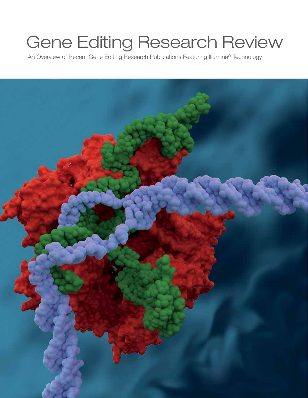# Gene Editing Research Review

An Overview of Recent Gene Editing Research Publications Featuring Illumina® Technology

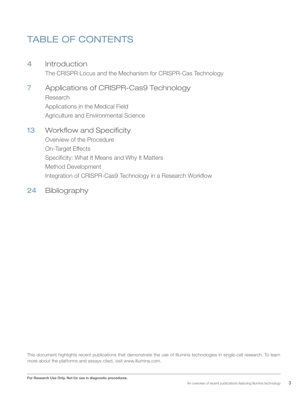### TABLE OF CONTENTS

- 4 Introduction The CRISPR Locus and the Mechanism for CRISPR-Cas Technology
- 7 Applications of CRISPR-Cas9 Technology Research Applications in the Medical Field Agriculture and Environmental Science
- 13 Workflow and Specificity Overview of the Procedure On-Target Effects Specificity: What It Means and Why It Matters Method Development Integration of CRISPR-Cas9 Technology in a Research Workflow
- 24 Bibliography

This document highlights recent publications that demonstrate the use of Illumina technologies in single-cell research. To learn more about the platforms and assays cited, visit www.illumina.com.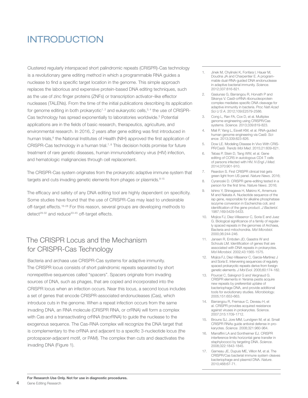### INTRODUCTION

Clustered regularly interspaced short palindromic repeats (CRISPR)-Cas technology is a revolutionary gene editing method in which a programmable RNA guides a nuclease to find a specific target location in the genome. This simple approach replaces the laborious and expensive protein-based DNA editing techniques, such as the use of zinc finger proteins (ZNFs) or transcription activator–like effector nucleases (TALENs). From the time of the initial publications describing its application for genome editing in both prokaryotic<sup>1, 2</sup> and eukaryotic cells,  $3, 4$  the use of CRISPR-Cas technology has spread exponentially to laboratories worldwide.<sup>5</sup> Potential applications are in the fields of basic research, therapeutics, agriculture, and environmental research. In 2016, 2 years after gene editing was first introduced in human trials,<sup>6</sup> the National Institutes of Health (NIH) approved the first application of CRISPR-Cas technology in a human trial.<sup>7,8</sup> This decision holds promise for future treatment of rare genetic diseases, human immunodeficiency virus (HIV) infection, and hematologic malignancies through cell replacement.

The CRISPR-Cas system originates from the prokaryotic adaptive immune system that targets and cuts invading genetic elements from phages or plasmids.<sup>9-15</sup>

The efficacy and safety of any DNA editing tool are highly dependent on specificity. Some studies have found that the use of CRISPR-Cas may lead to undesirable off-target effects.<sup>16-28</sup> For this reason, several groups are developing methods to detect<sup>29-32</sup> and reduce<sup>33-45</sup> off-target effects.

### The CRISPR Locus and the Mechanism for CRISPR-Cas Technology

Bacteria and archaea use CRISPR-Cas systems for adaptive immunity. The CRISPR locus consists of short palindromic repeats separated by short nonrepetitive sequences called "spacers". Spacers originate from invading sources of DNA, such as phages, that are copied and incorporated into the CRISPR locus when an infection occurs. Near this locus, a second locus includes a set of genes that encode CRISPR-associated endonucleases (Cas), which introduce cuts in the genome. When a repeat infection occurs from the same invading DNA, an RNA molecule (CRISPR RNA, or crRNA) will form a complex with Cas and a transactivating crRNA (tracrRNA) to guide the nuclease to the exogenous sequence. The Cas-RNA complex will recognize the DNA target that is complementary to the crRNA and adjacent to a specific 3-nucleotide locus (the protospacer-adjacent motif, or PAM). The complex then cuts and deactivates the invading DNA (Figure 1).

- 1. Jinek M, Chylinski K, Fonfara I, Hauer M, Doudna JA and Charpentier E. A programmable dual-RNA-guided DNA endonuclease in adaptive bacterial immunity. *Science*. 2012;337:816-821.
- 2. Gasiunas G, Barrangou R, Horvath P and Siksnys V. Cas9-crRNA ribonucleoprotein complex mediates specific DNA cleavage for adaptive immunity in bacteria. *Proc Natl Acad Sci U S A*. 2012;109:E2579-2586.
- 3. Cong L, Ran FA, Cox D, et al. Multiplex genome engineering using CRISPR/Cas systems. *Science*. 2013;339:819-823.
- 4. Mali P, Yang L, Esvelt KM, et al. RNA-guided human genome engineering via Cas9. *Science*. 2013;339:823-826.
- 5. Dow LE. Modeling Disease In Vivo With CRIS-PR/Cas9. *Trends Mol Med*. 2015;21:609-621.
- 6. Tebas P, Stein D, Tang WW, et al. Gene editing of CCR5 in autologous CD4 T cells of persons infected with HIV. *N Engl J Med*. 2014;370:901-910.
- 7. Reardon S. First CRISPR clinical trial gets green light from US panel. *Nature News*. 2016;
- 8. Cyranoski D. CRISPR gene-editing tested in a person for the first time. *Nature News*. 2016;
- 9. Ishino Y, Shinagawa H, Makino K, Amemura M and Nakata A. Nucleotide sequence of the iap gene, responsible for alkaline phosphatase isozyme conversion in Escherichia coli, and identification of the gene product. *J Bacteriol*. 1987;169:5429-5433.
- 10. Mojica FJ, Diez-Villasenor C, Soria E and Juez G. Biological significance of a family of regularly spaced repeats in the genomes of Archaea, Bacteria and mitochondria. *Mol Microbiol*. 2000;36:244-246.
- 11. Jansen R, Embden JD, Gaastra W and Schouls LM. Identification of genes that are associated with DNA repeats in prokaryotes. *Mol Microbiol*. 2002;43:1565-1575.
- 12. Mojica FJ, Diez-Villasenor C, Garcia-Martinez J and Soria E. Intervening sequences of regularly spaced prokaryotic repeats derive from foreign genetic elements. *J Mol Evol*. 2005;60:174-182.
- 13. Pourcel C, Salvignol G and Vergnaud G. CRISPR elements in Yersinia pestis acquire new repeats by preferential uptake of bacteriophage DNA, and provide additional tools for evolutionary studies. *Microbiology*. 2005;151:653-663.
- 14. Barrangou R, Fremaux C, Deveau H, et al. CRISPR provides acquired resistance against viruses in prokaryotes. Science. 2007;315:1709-1712.
- 15. Brouns SJ, Jore MM, Lundgren M, et al. Small CRISPR RNAs guide antiviral defense in prokaryotes. *Science*. 2008;321:960-964.
- 16. Marraffini LA and Sontheimer EJ. CRISPR interference limits horizontal gene transfer in staphylococci by targeting DNA. *Science*. 2008;322:1843-1845.
- 17. Garneau JE, Dupuis ME, Villion M, et al. The CRISPR/Cas bacterial immune system cleaves bacteriophage and plasmid DNA. *Nature*. 2010;468:67-71.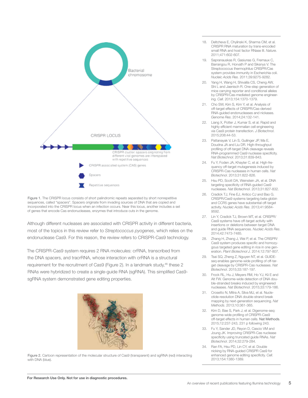

Figure 1. The CRISPR locus consists of short palindromic repeats separated by short nonrepetitive sequences, called "spacers". Spacers originate from invading sources of DNA that are copied and incorporated into the CRISPR locus when an infection occurs. Near this locus, another includes a set of genes that encode Cas endonucleases, enzymes that introduce cuts in the genome.

Although different nucleases are associated with CRISPR activity in different bacteria, most of the topics in this review refer to *Streptococcus pyogenes*, which relies on the endonuclease Cas9. For this reason, the review refers to CRISPR-Cas9 technology.

The CRISPR-Cas9 system requires 2 RNA molecules: crRNA, transcribed from the DNA spacers, and tracrRNA, whose interaction with crRNA is a structural requirement for the recruitment of Cas9 (Figure 2). In a landmark study,<sup>46</sup> these 2 RNAs were hybridized to create a single-guide RNA (sgRNA). This simplified Cas9 sgRNA system demonstrated gene editing properties.



Figure 2. Cartoon representation of the molecular structure of Cas9 (transparent) and sgRNA (red) interacting with DNA (blue).

- 18. Deltcheva E, Chylinski K, Sharma CM, et al. CRISPR RNA maturation by trans-encoded small RNA and host factor RNase III. *Nature*. 2011;471:602-607.
- 19. Sapranauskas R, Gasiunas G, Fremaux C, Barrangou R, Horvath P and Siksnys V. The Streptococcus thermophilus CRISPR/Cas system provides immunity in Escherichia coli. *Nucleic Acids Res*. 2011;39:9275-9282.
- Yang H, Wang H, Shivalila CS, Cheng AW, Shi L and Jaenisch R. One-step generation of mice carrying reporter and conditional alleles by CRISPR/Cas-mediated genome engineering. *Cell*. 2013;154:1370-1379.
- 21. Cho SW, Kim S, Kim Y, et al. Analysis of off-target effects of CRISPR/Cas-derived RNA-guided endonucleases and nickases. *Genome Res*. 2014;24:132-141.
- 22. Liang X, Potter J, Kumar S, et al. Rapid and highly efficient mammalian cell engineering via Cas9 protein transfection. *J Biotechnol*. 2015;208:44-53.
- 23. Pattanayak V, Lin S, Guilinger JP, Ma E, Doudna JA and Liu DR. High-throughput profiling of off-target DNA cleavage reveals RNA-programmed Cas9 nuclease specificity. *Nat Biotechnol*. 2013;31:839-843.
- 24. Fu Y, Foden JA, Khayter C, et al. High-frequency off-target mutagenesis induced by CRISPR-Cas nucleases in human cells. *Nat Biotechnol*. 2013;31:822-826.
- 25. Hsu PD, Scott DA, Weinstein JA, et al. DNA targeting specificity of RNA-guided Cas9 nucleases. *Nat Biotechnol*. 2013;31:827-832.
- 26. Cradick TJ, Fine EJ, Antico CJ and Bao G. CRISPR/Cas9 systems targeting beta-globin and CCR5 genes have substantial off-target activity. *Nucleic Acids Res*. 2013;41:9584- 9592.
- 27. Lin Y, Cradick TJ, Brown MT, et al. CRISPR/ Cas9 systems have off-target activity with insertions or deletions between target DNA and guide RNA sequences. *Nucleic Acids Res*. 2014;42:7473-7485.
- 28. Zhang H, Zhang J, Wei P, et al. The CRISPR/ Cas9 system produces specific and homozygous targeted gene editing in rice in one generation. *Plant Biotechnol J*. 2014;12:797-807.
- 29. Tsai SQ, Zheng Z, Nguyen NT, et al. GUIDEseq enables genome-wide profiling of off-target cleavage by CRISPR-Cas nucleases. *Nat Biotechnol*. 2015;33:187-197.
- 30. Frock RL, Hu J, Meyers RM, Ho YJ, Kii E and Alt FW. Genome-wide detection of DNA double-stranded breaks induced by engineered nucleases. *Nat Biotechnol*. 2015;33:179-186.
- 31. Crosetto N, Mitra A, Silva MJ, et al. Nucleotide-resolution DNA double-strand break mapping by next-generation sequencing. *Nat Methods*. 2013;10:361-365.
- 32. Kim D, Bae S, Park J, et al. Digenome-seq: genome-wide profiling of CRISPR-Cas9 off-target effects in human cells. Nat Methods. 2015;12:237-243, 231 p following 243.
- 33. Fu Y, Sander JD, Reyon D, Cascio VM and Joung JK. Improving CRISPR-Cas nuclease specificity using truncated guide RNAs. *Nat Biotechnol*. 2014;32:279-284.
- 34. Ran FA, Hsu PD, Lin CY, et al. Double nicking by RNA-guided CRISPR Cas9 for enhanced genome editing specificity. *Cell*. 2013;154:1380-1389.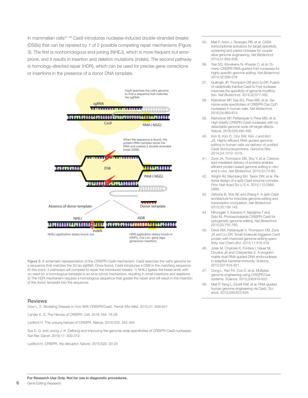In mammalian cells<sup>47, 48</sup> Cas9 introduces nuclease-induced double-stranded breaks (DSBs) that can be repaired by 1 of 2 possible competing repair mechanisms (Figure 3). The first is nonhomologous end-joining (NHEJ), which is more frequent but errorprone, and it results in insertion and deletion mutations (indels). The second pathway is homology-directed repair (HDR), which can be used for precise gene corrections or insertions in the presence of a donor DNA template.



Figure 3. A schematic representation of the CRISPR-Cas9 mechanism. Cas9 searches the cell's genome for a sequence that matches the 20 bp sgRNA. Once found, Cas9 introduces a DSB in the matching sequence. At this point, 2 pathways will compete to repair the introduced breaks: 1) NHEJ ligates the break ends with no need for a homologous template in an error-prone mechanism, resulting in small insertions and deletions. 2) The HDR mechanism requires a homologous sequence that guides the repair and will result in the insertion of the donor template into the sequence.

#### **Reviews**

Dow L. E. Modeling Disease In Vivo With CRISPR/Cas9. *Trends Mol Med*. 2015;21: 609-621

Lander E. S. The Heroes of CRISPR. *Cell*. 2016;164: 18-28

Ledford H. The unsung heroes of CRISPR. Nature. 2016;535: 342-344

Tsai S. Q. and Joung J. K. Defining and improving the genome-wide specificities of CRISPR-Cas9 nucleases. *Nat Rev Genet*. 2016;17: 300-312

Ledford H. CRISPR, the disruptor. *Nature*. 2015;522: 20-24

- 35. Mali P, Aach J, Stranges PB, et al. CAS9 transcriptional activators for target specificity screening and paired nickases for cooperative genome engineering. *Nat Biotechnol*. 2013;31:833-838.
- 36. Tsai SQ, Wyvekens N, Khayter C, et al. Dimeric CRISPR RNA-guided FokI nucleases for highly specific genome editing. *Nat Biotechnol*. 2014;32:569-576.
- 37. Guilinger JP, Thompson DB and Liu DR. Fusion of catalytically inactive Cas9 to FokI nuclease improves the specificity of genome modification. *Nat Biotechnol*. 2014;32:577-582.
- 38. Kleinstiver BP, Tsai SQ, Prew MS, et al. Genome-wide specificities of CRISPR-Cas Cpf1 nucleases in human cells. *Nat Biotechnol*. 2016;34:869-874.
- Kleinstiver BP, Pattanayak V, Prew MS, et al. High-fidelity CRISPR-Cas9 nucleases with no detectable genome-wide off-target effects. *Nature*. 2016;529:490-495.
- 40. Kim S, Kim D, Cho SW, Kim J and Kim JS. Highly efficient RNA-guided genome editing in human cells via delivery of purified Cas9 ribonucleoproteins. *Genome Res*. 2014;24:1012-1019.
- 41. Zuris JA, Thompson DB, Shu Y, et al. Cationic lipid-mediated delivery of proteins enables efficient protein-based genome editing in vitro and in vivo. *Nat Biotechnol*. 2015;33:73-80.
- 42. Wright AV, Sternberg SH, Taylor DW, et al. Rational design of a split-Cas9 enzyme complex. *Proc Natl Acad Sci U S A*. 2015;112:2984- 2989.
- 43. Zetsche B, Volz SE and Zhang F. A split-Cas9 architecture for inducible genome editing and transcription modulation. *Nat Biotechnol*. 2015;33:139-142.
- 44. Nihongaki Y, Kawano F, Nakajima T and Sato M. Photoactivatable CRISPR-Cas9 for optogenetic genome editing. *Nat Biotechnol*. 2015;33:755-760.
- 45. Davis KM, Pattanayak V, Thompson DB, Zuris JA and Liu DR. Small molecule-triggered Cas9 protein with improved genome-editing specificity. *Nat Chem Biol*. 2015;11:316-318.
- Jinek M, Chylinski K, Fonfara I, Hauer M, Doudna JA and Charpentier E. A programmable dual-RNA-guided DNA endonuclease in adaptive bacterial immunity. *Science*. 2012;337:816-821.
- 47. Cong L, Ran FA, Cox D, et al. Multiplex genome engineering using CRISPR/Cas systems. *Science*. 2013;339:819-823.
- 48. Mali P, Yang L, Esvelt KM, et al. RNA-guided human genome engineering via Cas9. *Science*. 2013;339:823-826.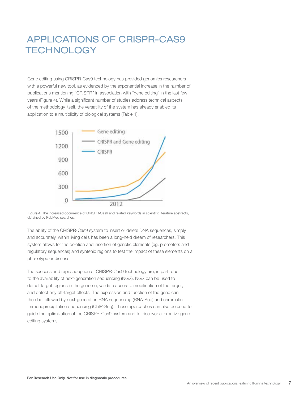### APPLICATIONS OF CRISPR-CAS9 **TECHNOLOGY**

Gene editing using CRISPR-Cas9 technology has provided genomics researchers with a powerful new tool, as evidenced by the exponential increase in the number of publications mentioning "CRISPR" in association with "gene editing" in the last few years (Figure 4). While a significant number of studies address technical aspects of the methodology itself, the versatility of the system has already enabled its application to a multiplicity of biological systems (Table 1).



Figure 4. The increased occurrence of CRISPR-Cas9 and related keywords in scientific literature abstracts, obtained by PubMed searches.

The ability of the CRISPR-Cas9 system to insert or delete DNA sequences, simply and accurately, within living cells has been a long-held dream of researchers. This system allows for the deletion and insertion of genetic elements (eg, promoters and regulatory sequences) and syntenic regions to test the impact of these elements on a phenotype or disease.

The success and rapid adoption of CRISPR-Cas9 technology are, in part, due to the availability of next-generation sequencing (NGS). NGS can be used to detect target regions in the genome, validate accurate modification of the target, and detect any off-target effects. The expression and function of the gene can then be followed by next-generation RNA sequencing (RNA-Seq) and chromatin immunoprecipitation sequencing (ChIP-Seq). These approaches can also be used to guide the optimization of the CRISPR-Cas9 system and to discover alternative geneediting systems.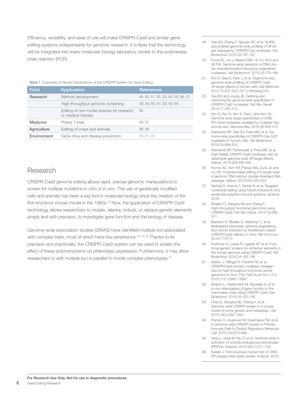Efficiency, versatility, and ease of use will make CRISPR-Cas9 and similar geneediting systems indispensable for genomic research. It is likely that the technology will be integrated into every molecular biology laboratory, similar to the polymerase chain reaction (PCR).

#### Table 1. Examples of Recent Applications of the CRISPR System for Gene Editing

| <b>Field</b> | Application                                                      | <b>References</b>                  |
|--------------|------------------------------------------------------------------|------------------------------------|
| Research     | Method development                                               | 49, 50, 51, 52, 53, 54, 55, 56, 57 |
|              | High-throughput genomic screening                                | 58, 59, 60, 61, 62, 63, 64         |
|              | Editing of non-model species for research<br>or medical interest | 65                                 |
| Medicine     | Phase 1 trials                                                   | 66.67                              |
| Agriculture  | Editing of crops and animals                                     | 68.69                              |
| Environment  | Gene drive and disease prevention                                | 70, 71, 72                         |

### Research

CRISPR-Cas9 genome editing allows rapid, precise genomic manipulations to screen for multiple mutations *in vitro* or *in vivo*. The use of genetically modified cells and animals has been a key tool in molecular biology since the creation of the first knockout mouse model in the 1980s.<sup>73</sup> Now, the application of CRISPR-Cas9 technology allows researchers to mutate, silence, induce, or replace genetic elements simply and with precision, to investigate gene function and the biology of disease.

Genome-wide association studies (GWAS) have identified multiple loci associated with complex traits, most of which have low penetrance.<sup> $74, 75, 76$ </sup> Thanks to its precision and practicality, the CRISPR-Cas9 system can be used to screen the effect of these polymorphisms on phenotypic expression. Furthermore, it may allow researchers to edit multiple loci in parallel to model complex phenotypes.<sup>77</sup>

- 49. Tsai SQ, Zheng Z, Nguyen NT, et al. GUIDEseq enables genome-wide profiling of off-target cleavage by CRISPR-Cas nucleases. *Nat Biotechnol*. 2015;33:187-197.
- 50. Frock RL, Hu J, Meyers RM, Ho YJ, Kii E and Alt FW. Genome-wide detection of DNA double-stranded breaks induced by engineered nucleases. *Nat Biotechnol*. 2015;33:179-186.
- 51. Kim D, Bae S, Park J, et al. Digenome-seq: genome-wide profiling of CRISPR-Cas9 off-target effects in human cells. *Nat Methods*. 2015;12:237-243, 231 p following 243.
- 52. Tsai SQ and Joung JK. Defining and improving the genome-wide specificities of CRISPR-Cas9 nucleases. *Nat Rev Genet*. 2016;17:300-312.
- 53. Kim D, Kim S, Kim S, Park J and Kim JS. Genome-wide target specificities of CRIS-PR-Cas9 nucleases revealed by multiplex Digenome-seq. *Genome Res*. 2016;26:406-415.
- 54. Kleinstiver BP, Tsai SQ, Prew MS, et al. Genome-wide specificities of CRISPR-Cas Cpf1 nucleases in human cells. *Nat Biotechnol*. 2016;34:869-874.
- 55. Kleinstiver BP, Pattanayak V, Prew MS, et al. High-fidelity CRISPR-Cas9 nucleases with no detectable genome-wide off-target effects. *Nature*. 2016;529:490-495.
- 56. Komor AC, Kim YB, Packer MS, Zuris JA and Liu DR. Programmable editing of a target base in genomic DNA without double-stranded DNA cleavage. *Nature*. 2016;533:420-424.
- 57. Nishida K, Arazoe T, Yachie N, et al. Targeted nucleotide editing using hybrid prokaryotic and vertebrate adaptive immune systems. *Science*.  $2016$
- 58. Shalem O, Sanjana NE and Zhang F. High-throughput functional genomics using CRISPR-Cas9. *Nat Rev Genet*. 2015;16:299- 311.
- 59. Maresch R, Mueller S, Veltkamp C, et al. Multiplexed pancreatic genome engineering and cancer induction by transfection-based CRISPR/Cas9 delivery in mice. *Nat Commun*. 2016;7:10770.
- 60. Korkmaz G, Lopes R, Ugalde AP, et al. Functional genetic screens for enhancer elements in the human genome using CRISPR-Cas9. *Nat Biotechnol*. 2016;34:192-198.
- 61. Weber J, Ollinger R, Friedrich M, et al. CRISPR/Cas9 somatic multiplex-mutagenesis for high-throughput functional cancer genomics in mice. *Proc Natl Acad Sci U S A*. 2015;112:13982-13987.
- 62. Swiech L, Heidenreich M, Banerjee A, et al. In vivo interrogation of gene function in the mammalian brain using CRISPR-Cas9. *Nat Biotechnol*. 2015;33:102-106.
- 63. Chen S, Sanjana NE, Zheng K, et al. Genome-wide CRISPR screen in a mouse model of tumor growth and metastasis. *Cell*. 2015;160:1246-1260.
- 64. Parnas O, Jovanovic M, Eisenhaure TM, et al. A Genome-wide CRISPR Screen in Primary Immune Cells to Dissect Regulatory Networks. *Cell*. 2015;162:675-686.
- 65. Yang L, Guell M, Niu D, et al. Genome-wide inactivation of porcine endogenous retroviruses (PERVs). *Science*. 2015;350:1101-1104.
- 66. Kaisler J. First proposed human test of CRIS-PR passes initial safety review. *Science*. 2016;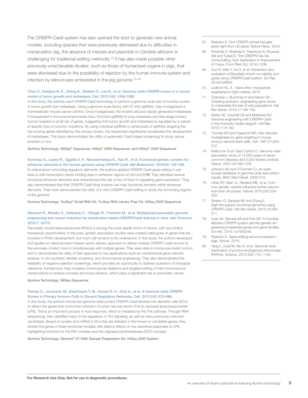The CRISPR-Cas9 system has also opened the door to generate new animal models, including species that were previously dismissed due to difficulties in manipulation (eg, the absence of meiosis and plasmids in *Candida albicans* is challenging for traditional editing methods).78 It has also made possible other previously unachievable studies, such as those of humanized organs in pigs, that were dismissed due to the possibility of rejection by the human immune system and infection by retroviruses embedded in the pig genome.<sup>79, 80</sup>

#### Chen S., Sanjana N. E., Zheng K., Shalem O., Lee K., et al. Genome-wide CRISPR screen in a mouse model of tumor growth and metastasis. *Cell*. 2015;160: 1246-1260.

In this study, the authors used CRISPR-Cas9 technology to perform a genome-wide loss-of-function screen in tumor growth and metastasis. Using a genome-scale library with 67,405 sgRNAs, they mutagenized a nonmetastatic mouse cancer cell line. Once mutagenized, the mutant cell pool rapidly generated metastases if transplanted in immunocompromised mice. Enriched sgRNAs in lung metastasis and late-stage primary tumors targeted a small set of genes, suggesting that tumor growth and metastasis is regulated by a subset of specific loss-of-function mutations. By using individual sgRNAs or small pools of sgRNAs targeting the top-scoring genes identified by the primary screen, the researchers significantly accelerated the development of metastases. This study demonstrates the utility of systematic Cas9-based screenings to study cancer evolution *in vivo*.

Illumina Technology: MiSeq® Sequencer, HiSeq® 2000 Sequencer, and HiSeq® 2500 Sequencer

Korkmaz G., Lopes R., Ugalde A. P., Nevedomskaya E., Han R., et al. Functional genetic screens for enhancer elements in the human genome using CRISPR-Cas9. *Nat Biotechnol*. 2016;34: 192-198. To characterize noncoding regulatory elements, the authors applied CRISPR-Cas9 gene editing to cell lines to edit transcription factor binding sites in enhancer regions of p53 and ER . They identified several functional enhancer elements and characterized the role of two of them in regulating gene expression. They also demonstrated that that CRISPR-Cas9 tiling screens can map functional domains within enhancer elements. Their work demonstrates the utility of *in vitro* CRISPR-Cas9 editing to study the noncoding regions of the genome.

Illumina Technology: TruSeq® Small RNA Kit, TruSeq RNA Library Prep Kit, HiSeq 2500 Sequencer

#### Maresch R., Mueller S., Veltkamp C., Ollinger R., Friedrich M., et al. Multiplexed pancreatic genome engineering and cancer induction by transfection-based CRISPR/Cas9 delivery in mice. *Nat Commun*. 2016;7: 10770.

Pancreatic ductal adenocarcinoma (PDAC) is among the most deadly forms of cancer, with very limited therapeutic opportunities. In the past, genetic association studies have created catalogues of genes that are involved in PDAC development, but much still remains to be understood. In this study, the authors developed and applied an electroporation-based vector delivery approach to deliver multiple CRISPR-Cas9 vectors to the pancreas of adult mice to simultaneously edit multiple genes. They were able to induce pancreatic tumors and to demonstrate the utility of their approach to key applications such as combinatorial gene-network analysis, *in vivo* synthetic lethality screening, and chromosome engineering. They also demonstrated the feasibility of negative-selection screenings, which provides an opportunity to address questions of biological relevance. Furthermore, they modeled chromosomal deletions and targeted editing of inter-chromosomal translocations to analyze complex structural variation, which plays a significant role in pancreatic cancer.

Illumina Technology: MiSeq Sequencer

Parnas O., Jovanovic M., Eisenhaure T. M., Herbst R. H., Dixit A., et al. A Genome-wide CRISPR Screen in Primary Immune Cells to Dissect Regulatory Networks. *Cell*. 2015;162: 675-686.

In this study, the authors introduced genome-wide pooled CRISPR-Cas9 libraries into dendritic cells (DCs) to detect the genes that control the induction of tumor necrosis factor (Tnf) by bacterial lipopolysaccharide (LPS). This is an important process in host response, which is mediated by the Tlr4 pathway. Through RNA sequencing, they identified many of the regulators of Tlr4 signaling, as well as many previously unknown candidates. Based on protein and mRNA in DCs that are deficient in the known or candidate genes, they divided the genes in three functional modules with distinct effects on the canonical responses to LPS, highlighting functions for the PAF complex and the oligosaccharyltransferase (OST) complex.

Illumina Technology: Nextera® XT DNA Sample Preparation Kit, HiSeq 2500 System

- 67. Reardon S. First CRISPR clinical trial gets green light from US panel. *Nature News*. 2016;
- 68. Khatodia S, Bhatotia K, Passricha N, Khurana SM and Tuteja N. The CRISPR/Cas Genome-Editing Tool: Application in Improvement of Crops. *Front Plant Sci*. 2016;7:506.
- 69. Guo R, Wan Y, Xu D, et al. Generation and evaluation of Myostatin knock-out rabbits and goats using CRISPR/Cas9 system. *Sci Rep*. 2016;6:29855.
- 70. Ledford HC, E. 'Gene drive' mosquitoes engineered to fight malaria. 2015;
- 71. Champer J, Buchman A and Akbari OS. Cheating evolution: engineering gene drives to manipulate the fate of wild populations. *Nat Rev Genet*. 2016;17:146-159.
- 72. Kistler KE, Vosshall LB and Matthews BJ. Genome engineering with CRISPR-Cas9 in the mosquito Aedes aegypti. *Cell Rep*. 2015;11:51-60.
- 73. Thomas KR and Capecchi MR. Site-directed mutagenesis by gene targeting in mouse embryo-derived stem cells. *Cell*. 1987;51:503- 512.
- 74. Wellcome Trust Case Control C. Genome-wide association study of 14,000 cases of seven common diseases and 3,000 shared controls. *Nature*. 2007;447:661-678.
- 75. Johnson AD and O'Donnell CJ. An open access database of genome-wide association results. *BMC Med Genet*. 2009;10:6.
- 76. Hibar DP, Stein JL, Renteria ME, et al. Common genetic variants influence human subcortical brain structures. *Nature*. 2015;520:224- 229.
- 77. Shalem O, Sanjana NE and Zhang F. High-throughput functional genomics using CRISPR-Cas9. *Nat Rev Genet*. 2015;16:299- 311.
- 78. Vyas VK, Barrasa MI and Fink GR. A Candida albicans CRISPR system permits genetic engineering of essential genes and gene families. *Sci Adv*. 2015;1:e1500248.
- 79. Reardon S. Gene-editing record smashed in pigs. *Nature*. 2015;
- 80. Yang L, Guell M, Niu D, et al. Genome-wide inactivation of porcine endogenous retroviruses (PERVs). *Science*. 2015;350:1101-1104.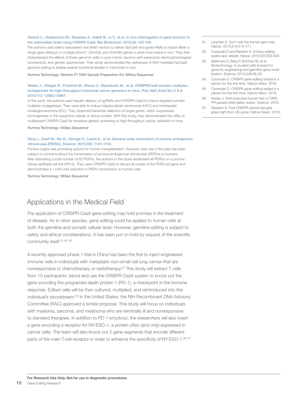#### Swiech L., Heidenreich M., Banerjee A., Habib N., Li Y., et al. In vivo interrogation of gene function in the mammalian brain using CRISPR-Cas9. *Nat Biotechnol*. 2015;33: 102-106.

The authors used adeno-associated viral (AAV) vectors to deliver SpCas9 and guide RNAs to target either a single gene (*Mecp2*) or multiple (*Dnmt1, Dnmt3a, and Dnmt3b*) genes in adult mice brains *in vivo*. They then characterized the effects of these genomic edits in post-mitotic neurons with behavioral, electrophysiological, biochemical, and genetic approaches. Their study demonstrates the usefulness of AAV-mediated SpCas9 genome editing to enable reverse functional studies in mice brain *in vivo*.

Illumina Technology: Nextera XT DNA Sample Preparation Kit, MiSeq Sequencer

#### Weber J., Ollinger R., Friedrich M., Ehmer U., Barenboim M., et al. CRISPR/Cas9 somatic multiplexmutagenesis for high-throughput functional cancer genomics in mice. *Proc Natl Acad Sci U S A*. 2015;112: 13982-13987.

In this work, the authors used hepatic delivery of sgRNAs and CRISPR-Cas9 to induce targeted somatic multiplex mutagenesis. They were able to induce hepatocellular carcinomas (HCC) and intrahepatic cholangiocarcinoma (ICC). They observed Darwinian selection of target genes, which suppressed tumorigenesis in the respective cellular or tissue context. With this study, they demonstrated the utility of multiplexed CRISPR-Cas9 for recessive genetic screening or high-throughput cancer validation in mice.

Illumina Technology: MiSeq Sequencer

#### Yang L., Guell M., Niu D., George H., Lesha E., et al. Genome-wide inactivation of porcine endogenous retroviruses (PERVs). *Science*. 2015;350: 1101-1104.

Porcine organs are promising options for human transplantation. However, their use in the past has been subject to concerns about the transmission of porcine endogenous retroviruses (PERVs) to humans. After estimating a total number of 62 PERVs, the authors in this study eradicated all PERVs on a porcine kidney epithelial cell line (PK15). They used CRISPR-Cas9 to disrupt all copies of the PERV pol gene and demonstrated a >1000-fold reduction in PERV transmission to human cells.

Illumina Technology: MiSeq Sequencer

### Applications in the Medical Field

The application of CRISPR-Cas9 gene editing may hold promise in the treatment of disease. As in other species, gene editing could be applied to human cells at both the germline and somatic cellular level. However, germline editing is subject to safety and ethical considerations. It has been put on hold by request of the scientific community itself. 81, 82, 83

A recently approved phase 1 trial in China has been the first to inject engineered immune cells in individuals with metastatic non–small cell lung cancer that are nonresponsive to chemotherapy or radiotherapy.84 This study will extract T cells from 10 participants' blood and use the CRISPR-Cas9 system to knock out the gene encoding the programed death protein 1 (PD-1), a checkpoint in the immune response. Edited cells will be then cultured, multiplied, and reintroduced into the individual's bloodstream.85 In the United States, the NIH Recombinant DNA Advisory Committee (RAC) approved a similar proposal. This study will focus on individuals with myeloma, sarcoma, and melanoma who are terminally ill and nonresponsive to standard therapies. In addition to PD-1 knockout, the researchers will also insert a gene encoding a receptor for NY-ESO-1, a protein often (and only) expressed in cancer cells. The team will also knock out 2 gene segments that encode different parts of the main T-cell receptor in order to enhance the specificity of NY-ESO-1.<sup>86, 87</sup>

- 81. Lanphier E. Don't edit the human germ line. *Nature*. 2015;519:410-411.
- 82. Cyranoski D and Reardon S. Embryo editing sparks epic debate. *Nature*. 2015;520:593-594.
- 83. Baltimore D, Berg P, Botchan M, et al. Biotechnology. A prudent path forward for genomic engineering and germline gene modification. *Science*. 2015;348:36-38.
- 84. Cyranoski D. CRISPR gene-editing tested in a person for the first time. *Nature News*. 2016;
- 85. Cyranoski D. CRISPR gene-editing tested in a person for the first time. *Nature News*. 2016;
- 86. Kaisler J. First proposed human test of CRIS-PR passes initial safety review. *Science*. 2016;
- 87. Reardon S. First CRISPR clinical trial gets green light from US panel. *Nature News*. 2016;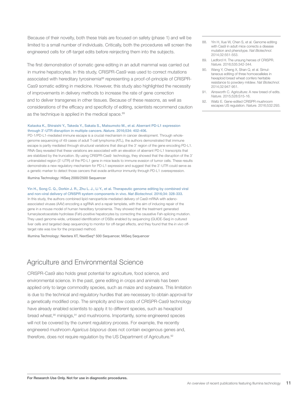Because of their novelty, both these trials are focused on safety (phase 1) and will be limited to a small number of individuals. Critically, both the procedures will screen the engineered cells for off-target edits before reinjecting them into the subjects.

The first demonstration of somatic gene editing in an adult mammal was carried out in murine hepatocytes. In this study, CRISPR-Cas9 was used to correct mutations associated with hereditary tyrosinemia88 representing a proof-of-principle of CRISPR-Cas9 somatic editing in medicine. However, this study also highlighted the necessity of improvements in delivery methods to increase the rate of gene correction and to deliver transgenes in other tissues. Because of these reasons, as well as considerations of the efficacy and specificity of editing, scientists recommend caution as the technique is applied in the medical space.<sup>89</sup>

#### Kataoka K., Shiraishi Y., Takeda Y., Sakata S., Matsumoto M., et al. Aberrant PD-L1 expression through 3'-UTR disruption in multiple cancers. *Nature*. 2016;534: 402-406.

PD-1/PD-L1-mediated immune escape is a crucial mechanism in cancer development. Through wholegenome sequencing of 49 cases of adult T-cell lymphoma (ATL), the authors demonstrated that immune escape is partly mediated through structural variations that disrupt the 3' region of the gene encoding PD-L1. RNA-Seq revealed that these variations are associated with an elevation of aberrant PD-L1 transcripts that are stabilized by the truncation. By using CRISPR-Cas9 technology, they showed that the disruption of the 3' untranslated region (3'-UTR) of the PD-L1 gene in mice leads to immune evasion of tumor cells. These results demonstrate a new regulatory mechanism for PD-L1 expression and suggest that the 3'-UTR could serve as a genetic marker to detect those cancers that evade antitumor immunity through PD-L1 overexpression.

Illumina Technology: HiSeq 2000/2500 Sequencer

#### Yin H., Song C. Q., Dorkin J. R., Zhu L. J., Li Y., et al. Therapeutic genome editing by combined viral and non-viral delivery of CRISPR system components in vivo. *Nat Biotechnol*. 2016;34: 328-333.

In this study, the authors combined lipid nanoparticle-mediated delivery of Cas9 mRNA with adenoassociated viruses (AAV) encoding a sgRNA and a repair template, with the aim of inducing repair of the gene in a mouse model of human hereditary tyrosinemia. They showed that the treatment generated fumarylacetoacetate hydrolase (Fah)-positive hepatocytes by correcting the causative Fah-splicing mutation. They used genome-wide, unbiased identification of DSBs enabled by sequencing (GUIDE-Seq) in cultured liver cells and targeted deep sequencing to monitor for off-target effects, and they found that the *in vivo* offtarget rate was low for the proposed method.

Illumina Technology: Nextera XT, NextSeq® 500 Sequencer, MiSeq Sequencer

### Agriculture and Environmental Science

CRISPR-Cas9 also holds great potential for agriculture, food science, and environmental science. In the past, gene editing in crops and animals has been applied only to large commodity species, such as maize and soybeans. This limitation is due to the technical and regulatory hurdles that are necessary to obtain approval for a genetically modified crop. The simplicity and low costs of CRISPR-Cas9 technology have already enabled scientists to apply it to different species, such as hexaploid bread wheat,<sup>90</sup> minipigs,<sup>91</sup> and mushrooms. Importantly, some engineered species will not be covered by the current regulatory process. For example, the recently engineered mushroom *Agaricus bisporus* does not contain exogenous genes and, therefore, does not require regulation by the US Department of Agriculture.<sup>92</sup>

- 88. Yin H, Xue W, Chen S, et al. Genome editing with Cas9 in adult mice corrects a disease mutation and phenotype. *Nat Biotechnol*. 2014;32:551-553.
- 89. Ledford H. The unsung heroes of CRISPR. *Nature*. 2016;535:342-344.
- 90. Wang Y, Cheng X, Shan Q, et al. Simultaneous editing of three homoeoalleles in hexaploid bread wheat confers heritable resistance to powdery mildew. *Nat Biotechnol*. 2014;32:947-951.
- 91. Ainsworth C. Agriculture: A new breed of edits. *Nature*. 2015;528:S15-16.
- 92. Waltz E. Gene-edited CRISPR mushroom escapes US regulation. *Nature*. 2016;532:293.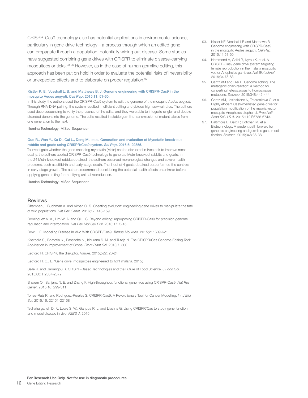CRISPR-Cas9 technology also has potential applications in environmental science, particularly in gene-drive technology—a process through which an edited gene can propagate through a population, potentially wiping out disease. Some studies have suggested combining gene drives with CRISPR to eliminate disease-carrying mosquitoes or ticks.93-96 However, as in the case of human germline editing, this approach has been put on hold in order to evaluate the potential risks of irreversibility or unexpected effects and to elaborate on proper regulation.<sup>97</sup>

#### Kistler K. E., Vosshall L. B. and Matthews B. J. Genome engineering with CRISPR-Cas9 in the mosquito Aedes aegypti. *Cell Rep*. 2015;11: 51-60.

In this study, the authors used the CRISPR-Cas9 system to edit the genome of the mosquito *Aedes aegypti*. Through RNA-DNA pairing, the system resulted in efficient editing and yielded high survival rates. The authors used deep sequencing to verify the presence of the edits, and they were able to integrate single- and doublestranded donors into the genome. The edits resulted in stable germline transmission of mutant alleles from one generation to the next.

Illumina Technology: MiSeq Sequencer

#### Guo R., Wan Y., Xu D., Cui L., Deng M., et al. Generation and evaluation of Myostatin knock-out rabbits and goats using CRISPR/Cas9 system. *Sci Rep*. 2016;6: 29855.

To investigate whether the gene encoding myostatin (Mstn) can be disrupted in livestock to improve meat quality, the authors applied CRISPR-Cas9 technology to generate Mstn-knockout rabbits and goats. In the 24 Mstn-knockout rabbits obtained, the authors observed morphological changes and severe health problems, such as stillbirth and early-stage death. The 1 out of 4 goats obtained outperformed the controls in early-stage growth. The authors recommend considering the potential health effects on animals before applying gene editing for modifying animal reproduction.

Illumina Technology: MiSeq Sequencer

#### **Reviews**

Champer J., Buchman A. and Akbari O. S. Cheating evolution: engineering gene drives to manipulate the fate of wild populations. *Nat Rev Genet*. 2016;17: 146-159

Dominguez A. A., Lim W. A. and Qi L. S. Beyond editing: repurposing CRISPR-Cas9 for precision genome regulation and interrogation. *Nat Rev Mol Cell Biol*. 2016;17: 5-15

Dow L. E. Modeling Disease In Vivo With CRISPR/Cas9. *Trends Mol Med*. 2015;21: 609-621

Khatodia S., Bhatotia K., Passricha N., Khurana S. M. and Tuteja N. The CRISPR/Cas Genome-Editing Tool: Application in Improvement of Crops. *Front Plant Sci*. 2016;7: 506

Ledford H. CRISPR, the disruptor. *Nature*. 2015;522: 20-24

Ledford H. C., E. 'Gene drive' mosquitoes engineered to fight malaria. 2015;

Selle K. and Barrangou R. CRISPR-Based Technologies and the Future of Food Science. *J Food Sci*. 2015;80: R2367-2372

Shalem O., Sanjana N. E. and Zhang F. High-throughput functional genomics using CRISPR-Cas9. *Nat Rev Genet*. 2015;16: 299-311

Torres-Ruiz R. and Rodriguez-Perales S. CRISPR-Cas9: A Revolutionary Tool for Cancer Modelling. *Int J Mol Sci*. 2015;16: 22151-22168

Tschaharganeh D. F., Lowe S. W., Garippa R. J. and Livshits G. Using CRISPR/Cas to study gene function and model disease in vivo. *FEBS J*. 2016;

- 93. Kistler KE, Vosshall LB and Matthews BJ. Genome engineering with CRISPR-Cas9 in the mosquito Aedes aegypti. *Cell Rep*. 2015;11:51-60.
- 94. Hammond A, Galizi R, Kyrou K, et al. A CRISPR-Cas9 gene drive system targeting female reproduction in the malaria mosquito vector Anopheles gambiae. *Nat Biotechnol*. 2016;34:78-83.
- 95. Gantz VM and Bier E. Genome editing. The mutagenic chain reaction: a method for converting heterozygous to homozygous mutations. *Science*. 2015;348:442-444.
- 96. Gantz VM, Jasinskiene N, Tatarenkova O, et al. Highly efficient Cas9-mediated gene drive for population modification of the malaria vector mosquito Anopheles stephensi. *Proc Natl Acad Sci U S A*. 2015;112:E6736-6743.
- 97. Baltimore D, Berg P, Botchan M, et al. Biotechnology. A prudent path forward for genomic engineering and germline gene modification. *Science*. 2015;348:36-38.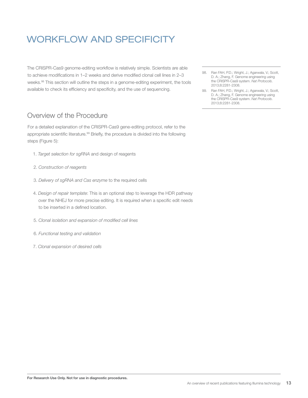### WORKFLOW AND SPECIFICITY

The CRISPR-Cas9 genome-editing workflow is relatively simple. Scientists are able to achieve modifications in 1–2 weeks and derive modified clonal cell lines in 2–3 weeks.98 This section will outline the steps in a genome-editing experiment, the tools available to check its efficiency and specificity, and the use of sequencing.

### Overview of the Procedure

For a detailed explanation of the CRISPR-Cas9 gene-editing protocol, refer to the appropriate scientific literature.<sup>99</sup> Briefly, the procedure is divided into the following steps (Figure 5):

- 1. *Target selection for sgRNA* and design of reagents
- 2. *Construction of reagents*
- 3. *Delivery of sgRNA and Cas enzyme* to the required cells
- 4. *Design of repair template*: This is an optional step to leverage the HDR pathway over the NHEJ for more precise editing. It is required when a specific edit needs to be inserted in a defined location.
- 5. *Clonal isolation and expansion of modified cell lines*
- 6. *Functional testing and validation*
- 7. *Clonal expansion of desired cells*
- 98. Ran FAH, P.D.; Wright, J.; Agarwala, V.; Scott, D. A.; Zhang, F. Genome engineering using the CRISPR-Cas9 system. *Nat Protocols*. 2013;8:2281-2308.
- 99. Ran FAH, P.D.; Wright, J.; Agarwala, V.; Scott, D. A.; Zhang, F. Genome engineering using the CRISPR-Cas9 system. *Nat Protocols*. 2013;8:2281-2308.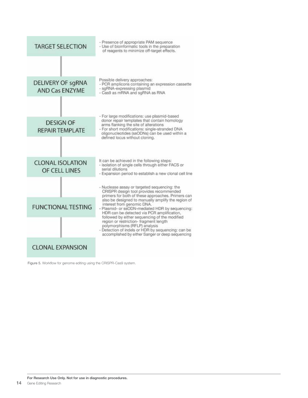| <b>TARGET SELECTION</b>                    | - Presence of appropriate PAM sequence<br>- Use of bioinformatic tools in the preparation<br>of reagents to minimize off-target effects.                                                                                                                                            |  |  |  |  |
|--------------------------------------------|-------------------------------------------------------------------------------------------------------------------------------------------------------------------------------------------------------------------------------------------------------------------------------------|--|--|--|--|
|                                            |                                                                                                                                                                                                                                                                                     |  |  |  |  |
| DELIVERY OF sgRNA<br><b>AND Cas ENZYME</b> | Possible delivery approaches:<br>- PCR amplicons containing an expression cassette<br>- sgRNA-expressing plasmid<br>- Cas9 as mRNA and sqRNA as RNA                                                                                                                                 |  |  |  |  |
| <b>DESIGN OF</b><br><b>REPAIR TEMPLATE</b> | - For large modifications: use plasmid-based<br>donor repair templates that contain homology<br>arms flanking the site of alterations<br>- For short modifications: single-stranded DNA<br>oligonucleotides (ssODNs) can be used within a<br>defined locus without cloning.         |  |  |  |  |
| <b>CLONAL ISOLATION</b><br>OF CELL LINES   | It can be achieved in the following steps:<br>- isolation of single cells through either FACS or<br>serial dilutions<br>- Expansion period to establish a new clonal cell line                                                                                                      |  |  |  |  |
| <b>FUNCTIONAL TESTING</b>                  | - Nuclease assay or targeted sequencing: the<br>CRISPR design tool provides recommended<br>primers for both of these approaches. Primers can<br>also be designed to manually amplify the region of<br>interest from genomic DNA.<br>- Plasmid- or ssODN-mediated HDR by sequencing: |  |  |  |  |
|                                            | HDR can be detected via PCR amplification,<br>followed by either sequencing of the modified<br>region or restriction- fragment length<br>polymorphisms (RFLP) analysis<br>- Detection of indels or HDR by sequencing: can be<br>accomplished by either Sanger or deep sequencing    |  |  |  |  |
| <b>CLONAL EXPANSION</b>                    |                                                                                                                                                                                                                                                                                     |  |  |  |  |

Figure 5. Workflow for genome editing using the CRISPR-Cas9 system.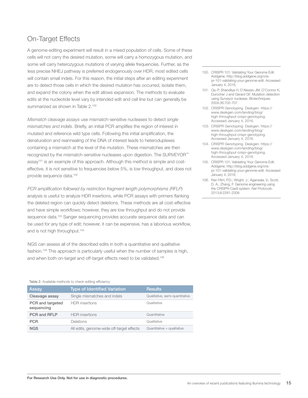### On-Target Effects

A genome-editing experiment will result in a mixed population of cells. Some of these cells will not carry the desired mutation, some will carry a homozygous mutation, and some will carry heterozygous mutations of varying allele frequencies. Further, as the less precise NHEJ pathway is preferred endogenously over HDR, most edited cells will contain small indels. For this reason, the initial steps after an editing experiment are to detect those cells in which the desired mutation has occurred, isolate them, and expand the colony when the edit allows expansion. The methods to evaluate edits at the nucleotide level vary by intended edit and cell line but can generally be summarized as shown in Table 2.<sup>100</sup>

*Mismatch cleavage assays* use mismatch-sensitive nucleases to detect *single mismatches and indels*. Briefly, an initial PCR amplifies the region of interest in mutated and reference wild type cells. Following this initial amplification, the denaturation and reannealing of the DNA of interest leads to heteroduplexes containing a mismatch at the level of the mutation. These mismatches are then recognized by the mismatch-sensitive nucleases upon digestion. The SURVEYOR™ assay<sup>101</sup> is an example of this approach. Although this method is simple and costeffective, it is not sensitive to frequencies below 5%, is low throughput, and does not provide sequence data.<sup>102</sup>

*PCR amplification followed by restriction fragment length polymorphisms (RFLP)* analysis is useful to analyze HDR insertions, while PCR assays with primers flanking the deleted region can quickly detect deletions. These methods are all cost-effective and have simple workflows; however, they are low throughput and do not provide sequence data.<sup>103</sup> Sanger sequencing provides accurate sequence data and can be used for any type of edit; however, it can be expensive, has a laborious workflow, and is not high throughput.104

NGS can assess all of the described edits in both a quantitative and qualitative fashion.<sup>105</sup> This approach is particularly useful when the number of samples is high, and when both on-target and off-target effects need to be validated.<sup>106</sup>

#### Table 2. Available methods to check editing efficiency

| Assay                          | <b>Type of Identified Variation</b>       | Results                        |
|--------------------------------|-------------------------------------------|--------------------------------|
| Cleavage assay                 | Single mismatches and indels              | Qualitative, semi-quantitative |
| PCR and targeted<br>sequencing | <b>HDR</b> insertions                     | Qualitative                    |
| <b>PCR and RFLP</b>            | <b>HDR</b> insertions                     | Quantitative                   |
| <b>PCR</b>                     | <b>Deletions</b>                          | Qualitative                    |
| <b>NGS</b>                     | All edits, genome-wide off-target effects | Quantitative + qualitative     |

- 100. CRISPR 101: Validating Your Genome Edit. Addgene. http://blog.addgene.org/crispr-101-validating-your-genome-edit. Accessed January 4, 2016.
- 101. Qiu P, Shandilya H, D'Alessio JM, O'Connor K, Durocher J and Gerard GF. Mutation detection using Surveyor nuclease. *Biotechniques*. 2004;36:702-707.
- 102. CRISPR Genotyping. Deskgen. https:// www.deskgen.com/landing/blog/ high-throughput-crispr-genotyping. Accessed January 4, 2016.
- 103. CRISPR Genotyping. Deskgen. https:// www.deskgen.com/landing/blog/ high-throughput-crispr-genotyping. Accessed January 4, 2016.
- 104. CRISPR Genotyping. Deskgen. https:// www.deskgen.com/landing/blog/ high-throughput-crispr-genotyping. Accessed January 4, 2016.
- 105. CRISPR 101: Validating Your Genome Edit. Addgene. http://blog.addgene.org/crispr-101-validating-your-genome-edit. Accessed January 4, 2016.
- 106. Ran FAH, P.D.; Wright, J.; Agarwala, V.; Scott, D. A.; Zhang, F. Genome engineering using the CRISPR-Cas9 system. *Nat Protocols*. 2013;8:2281-2308.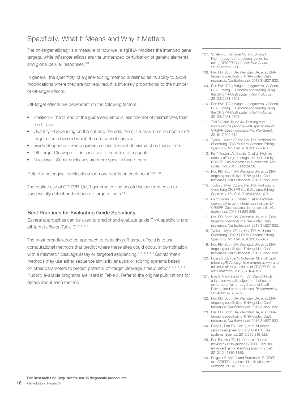### Specificity: What It Means and Why It Matters

The *on-target efficacy* is a measure of how well a sgRNA modifies the intended gene targets, while *off-target effects* are the unintended perturbation of genetic elements and global cellular responses.<sup>107</sup>

In general, the *specificity* of a gene-editing method is defined as its ability to avoid modifications where they are not required. It is inversely proportional to the number of off-target effects.

Off-target effects are dependent on the following factors:

- Position—The 3' end of the guide sequence is less tolerant of mismatches than the 5' end.
- Quantity—Depending on the cell and the edit, there is a maximum number of offtarget effects beyond which the cell cannot survive.
- Guide Sequence—Some guides are less tolerant of mismatches than others.
- Off-Target Cleavage—It is sensitive to the ratios of reagents.
- Nuclease—Some nucleases are more specific than others.

Refer to the original publications for more details on each point.<sup>108, 109</sup>

The routine use of CRISPR-Cas9 genome editing should include strategies to successfully detect and reduce off-target effects.<sup>110</sup>

#### Best Practices for Evaluating Guide Specificity

Several approaches can be used to predict and evaluate guide RNA specificity and off-target effects (Table 3).<sup>111, 112</sup>

The most broadly adopted approach to detecting off-target effects is to use computational methods that predict where these sites could occur, in combination with a mismatch cleavage assay or targeted sequencing.<sup>113, 114, 115</sup> Bioinformatic methods may use either sequence similarity analysis or scoring systems based on other parameters to predict potential off-target cleavage sites *in silico*. 116, 117, 118 Publicly available programs are listed in Table 3. Refer to the original publications for details about each method.

- 107. Shalem O, Sanjana NE and Zhang F. High-throughput functional genomics using CRISPR-Cas9. *Nat Rev Genet*. 2015;16:299-311.
- 108. Hsu PD, Scott DA, Weinstein JA, et al. DNA targeting specificity of RNA-guided Cas9 nucleases. *Nat Biotechnol*. 2013;31:827-832.
- 109. Ran FAH, P.D.; Wright, J.; Agarwala, V.; Scott, D. A.; Zhang, F. Genome engineering using the CRISPR-Cas9 system. *Nat Protocols*. 2013;8:2281-2308.
- 110. Ran FAH, P.D.; Wright, J.; Agarwala, V.; Scott, D. A.; Zhang, F. Genome engineering using the CRISPR-Cas9 system. *Nat Protocols*. 2013;8:2281-2308.
- 111. Tsai SQ and Joung JK. Defining and improving the genome-wide specificities of CRISPR-Cas9 nucleases. *Nat Rev Genet*. 2016;17:300-312.
- 112. Tycko J, Myer VE and Hsu PD. Methods for Optimizing CRISPR-Cas9 Genome Editing Specificity. *Mol Cell*. 2016;63:355-370.
- 113. Fu Y, Foden JA, Khayter C, et al. High-frequency off-target mutagenesis induced by CRISPR-Cas nucleases in human cells. *Nat Biotechnol*. 2013;31:822-826.
- 114. Hsu PD, Scott DA, Weinstein JA, et al. DNA targeting specificity of RNA-guided Cas9 nucleases. *Nat Biotechnol*. 2013;31:827-832.
- 115. Tycko J, Myer VE and Hsu PD. Methods for Optimizing CRISPR-Cas9 Genome Editing Specificity. *Mol Cell*. 2016;63:355-370.
- 116. Fu Y, Foden JA, Khayter C, et al. High-frequency off-target mutagenesis induced by CRISPR-Cas nucleases in human cells. *Nat Biotechnol*. 2013;31:822-826.
- 117. Hsu PD, Scott DA, Weinstein JA, et al. DNA targeting specificity of RNA-guided Cas9 nucleases. *Nat Biotechnol*. 2013;31:827-832.
- 118. Tycko J, Myer VE and Hsu PD. Methods for Optimizing CRISPR-Cas9 Genome Editing Specificity. *Mol Cell*. 2016;63:355-370.
- 119. Hsu PD, Scott DA, Weinstein JA, et al. DNA targeting specificity of RNA-guided Cas9 nucleases. *Nat Biotechnol*. 2013;31:827-832.
- 120. Doench JG, Fusi N, Sullender M, et al. Optimized sgRNA design to maximize activity and minimize off-target effects of CRISPR-Cas9. *Nat Biotechnol*. 2016;34:184-191.
- 121. Bae S, Park J and Kim JS. Cas-OFFinder: a fast and versatile algorithm that searches for potential off-target sites of Cas9 RNA-guided endonucleases. *Bioinformatics*. 2014;30:1473-1475.
- 122. Hsu PD, Scott DA, Weinstein JA, et al. DNA targeting specificity of RNA-guided Cas9 nucleases. *Nat Biotechnol*. 2013;31:827-832.
- 123. Hsu PD, Scott DA, Weinstein JA, et al. DNA targeting specificity of RNA-guided Cas9 nucleases. *Nat Biotechnol*. 2013;31:827-832.
- 124. Cong L, Ran FA, Cox D, et al. Multiplex genome engineering using CRISPR/Cas systems. *Science*. 2013;339:819-823.
- 125. Ran FA, Hsu PD, Lin CY, et al. Double nicking by RNA-guided CRISPR Cas9 for enhanced genome editing specificity. *Cell*. 2013;154:1380-1389.
- 126. Heigwer F, Kerr G and Boutros M. E-CRISP: fast CRISPR target site identification. *Nat Methods*. 2014;11:122-123.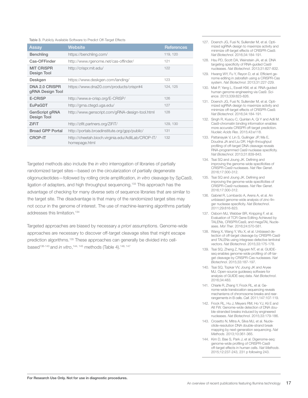#### Table 3. Publicly Available Software to Predict Off-Target Effects

| Assay                                     | <b>Website</b>                                                      | References |
|-------------------------------------------|---------------------------------------------------------------------|------------|
| <b>Benchling</b>                          | https://benchling.com/                                              | 119, 120   |
| Cas-OFFinder                              | http://www.rgenome.net/cas-offinder/                                | 121        |
| <b>MIT CRISPR</b><br>Design Tool          | http://crispr.mit.edu/                                              | 122        |
| Deskgen                                   | https://www.deskgen.com/landing/                                    | 123        |
| <b>DNA 2.0 CRISPR</b><br>gRNA Design Tool | https://www.dna20.com/products/crispr#4                             | 124, 125   |
| <b>E-CRISP</b>                            | http://www.e-crisp.org/E-CRISP/                                     | 126        |
| EuPaGDT                                   | http://grna.ctegd.uga.edu/                                          | 127        |
| GenScript gRNA<br>Design Tool             | http://www.genscript.com/gRNA-design-tool.html                      | 128        |
| ZiFiT                                     | http://zifit.partners.org/ZiFiT/                                    | 129, 130   |
| <b>Broad GPP Portal</b>                   | http://portals.broadinstitute.org/gpp/public/                       | 131        |
| <b>CROP-IT</b>                            | http://cheetah.bioch.virginia.edu/AdliLab/CROP-IT/<br>homepage.html | 132        |

Targeted methods also include the *in vitro* interrogation of libraries of partially randomized target sites—based on the circularization of partially degenerate oligonucleotides—followed by rolling circle amplification, *in vitro* cleavage by SpCas9, ligation of adapters, and high throughput sequencing.<sup>133</sup> This approach has the advantage of checking for many diverse sets of sequence libraries that are similar to the target site. The disadvantage is that many of the randomized target sites may not occur in the genome of interest. The use of machine-learning algorithms partially addresses this limitation.<sup>134</sup>

Targeted approaches are biased by necessary *a priori* assumptions. Genome-wide approaches are necessary to discover off-target cleavage sites that might escape prediction algorithms.135 These approaches can generally be divided into cellbased<sup>136-143</sup> and *in vitro*,<sup>144, 145</sup> methods (Table 4).<sup>146, 147</sup>

- 127. Doench JG, Fusi N, Sullender M, et al. Optimized sgRNA design to maximize activity and minimize off-target effects of CRISPR-Cas9. *Nat Biotechnol*. 2016;34:184-191.
- 128. Hsu PD, Scott DA, Weinstein JA, et al. DNA targeting specificity of RNA-guided Cas9 nucleases. *Nat Biotechnol*. 2013;31:827-832.
- 129. Hwang WY, Fu Y, Reyon D, et al. Efficient genome editing in zebrafish using a CRISPR-Cas system. *Nat Biotechnol*. 2013;31:227-229.
- 130. Mali P, Yang L, Esvelt KM, et al. RNA-guided human genome engineering via Cas9. *Science*. 2013;339:823-826.
- 131. Doench JG, Fusi N, Sullender M, et al. Optimized sgRNA design to maximize activity and minimize off-target effects of CRISPR-Cas9. *Nat Biotechnol*. 2016;34:184-191.
- 132. Singh R, Kuscu C, Quinlan A, Qi Y and Adli M. Cas9-chromatin binding information enables more accurate CRISPR off-target prediction. *Nucleic Acids Res*. 2015;43:e118.
- 133. Pattanayak V, Lin S, Guilinger JP, Ma E, Doudna JA and Liu DR. High-throughput profiling of off-target DNA cleavage reveals RNA-programmed Cas9 nuclease specificity. *Nat Biotechnol*. 2013;31:839-843.
- 134. Tsai SQ and Joung JK. Defining and improving the genome-wide specificities of CRISPR-Cas9 nucleases. *Nat Rev Genet*. 2016;17:300-312.
- 135. Tsai SQ and Joung JK. Defining and improving the genome-wide specificities of CRISPR-Cas9 nucleases. *Nat Rev Genet*. 2016;17:300-312.
- 136. Gabriel R, Lombardo A, Arens A, et al. An unbiased genome-wide analysis of zinc-finger nuclease specificity. *Nat Biotechnol*. 2011;29:816-823.
- 137. Osborn MJ, Webber BR, Knipping F, et al. Evaluation of TCR Gene Editing Achieved by TALENs, CRISPR/Cas9, and megaTAL Nucleases. *Mol Ther*. 2016;24:570-581.
- 138. Wang X, Wang Y, Wu X, et al. Unbiased detection of off-target cleavage by CRISPR-Cas9 and TALENs using integrase-defective lentiviral vectors. *Nat Biotechnol*. 2015;33:175-178.
- 139. Tsai SQ, Zheng Z, Nguyen NT, et al. GUIDEseq enables genome-wide profiling of off-target cleavage by CRISPR-Cas nucleases. *Nat Biotechnol*. 2015;33:187-197.
- 140. Tsai SQ, Topkar VV, Joung JK and Aryee MJ. Open-source guideseq software for analysis of GUIDE-seq data. *Nat Biotechnol*. 2016;34:483.
- 141. Chiarle R, Zhang Y, Frock RL, et al. Genome-wide translocation sequencing reveals mechanisms of chromosome breaks and rearrangements in B cells. *Cell*. 2011;147:107-119.
- 142. Frock RL, Hu J, Meyers RM, Ho YJ, Kii E and Alt FW. Genome-wide detection of DNA double-stranded breaks induced by engineered nucleases. *Nat Biotechnol*. 2015;33:179-186.
- 143. Crosetto N, Mitra A, Silva MJ, et al. Nucleotide-resolution DNA double-strand break mapping by next-generation sequencing. *Nat Methods*. 2013;10:361-365.
- 144. Kim D, Bae S, Park J, et al. Digenome-seq: genome-wide profiling of CRISPR-Cas9 off-target effects in human cells. *Nat Methods*. 2015;12:237-243, 231 p following 243.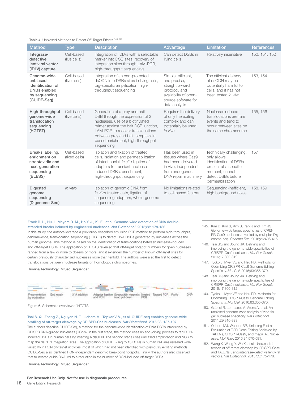#### Table 4. Unbiased Methods to Detect Off-Target Effects 148, 149

| <b>Method</b>                                                                                       | <b>Type</b>                 | <b>Description</b>                                                                                                                                                                                                                                                                   | Advantage                                                                                                                               | Limitation                                                                                                                                             | References    |
|-----------------------------------------------------------------------------------------------------|-----------------------------|--------------------------------------------------------------------------------------------------------------------------------------------------------------------------------------------------------------------------------------------------------------------------------------|-----------------------------------------------------------------------------------------------------------------------------------------|--------------------------------------------------------------------------------------------------------------------------------------------------------|---------------|
| Integrase-<br>defective<br>lentiviral vector<br>(IDLV) capture                                      | Cell-based<br>(live cells)  | Integration of IDLVs with a selectable<br>marker into DSB sites, recovery of<br>integration sites through LAM-PCR,<br>high-throughput sequencing                                                                                                                                     | Can detect DSBs in<br>living cells                                                                                                      | Relatively insensitive                                                                                                                                 | 150, 151, 152 |
| Genome-wide<br>unbiased<br>identification of<br><b>DNBs</b> enabled<br>by sequencing<br>(GUIDE-Seq) | Cell-based<br>(live cells)  | Integration of an end-protected<br>dsODN into DSBs sites in living cells,<br>tag-specific amplification, high-<br>throughput sequencing                                                                                                                                              | Simple, efficient,<br>and precise,<br>straightforward<br>protocol, and<br>availability of open-<br>source software for<br>data analysis | The efficient delivery<br>of dsODN may be<br>potentially harmful to<br>cells, and it has not<br>been tested in vivo                                    | 153, 154      |
| High-throughput<br>genome-wide<br>translocation<br>sequencing<br>(HGTST)                            | Cell-based<br>(live cells)  | Generation of a prey and bait<br>DSB through the expression of 2<br>nucleases, use of a biotinylated<br>primer against the bait DSB junction,<br><b>LAM-PCR</b> to recover translocations<br>between prey and bait, streptavidin-<br>based enrichment, high-throughput<br>sequencing | Requires the delivery<br>of only the editing<br>complex and can<br>potentially be used<br>in vivo                                       | Nuclease-induced<br>translocations are rare<br>events and tend to<br>occur between sites on<br>the same chromosome                                     | 155, 156      |
| Breaks labeling,<br>enrichment on<br>streptavidin and<br>next-generation<br>sequencing<br>(BLESS)   | Cell-based<br>(fixed cells) | Isolation and fixation of treated<br>cells, isolation and permeabilization<br>of intact nuclei, in situ ligation of<br>adapters to transient nuclease-<br>induced DSBs, enrichment,<br>high-throughput sequencing                                                                    | Has been used in<br>tissues where Cas9<br>had been delivered<br>in vivo, independent<br>from endogenous<br>DNA repair machinery         | Technically challenging,<br>only allows<br>identification of DSBs<br>present at a specific<br>moment, cannot<br>detect DSBs before<br>permeabilization | 157           |
| <b>Digested</b><br>genome<br>sequencing<br>(Digenome-Seg)                                           | In vitro                    | Isolation of genomic DNA from<br>in vitro treated cells, ligation of<br>sequencing adapters, whole-genome<br>sequencing                                                                                                                                                              | No limitations related<br>to cell-based factors                                                                                         | Sequencing-inefficient,<br>high background noise                                                                                                       | 158, 159      |

#### Frock R. L., Hu J., Meyers R. M., Ho Y. J., Kii E., et al. Genome-wide detection of DNA doublestranded breaks induced by engineered nucleases. *Nat Biotechnol*. 2015;33: 179-186.

In this study, the authors leverage a previously described emulsion PCR method to perform high-throughput, genome-wide, translocation sequencing (HTGTS) to detect DNA DSBs generated by nucleases across the human genome. This method is based on the identification of translocations between nuclease-induced and off-target DSBs. The application of HTGTS revealed that off-target hotspot numbers for given nucleases ranged from a few or none to dozens or more, and it extended the number of known off-target sites for certain previously characterized nucleases more than tenfold. The authors were also the first to detect translocations between nuclease targets on homologous chromosomes.

Illumina Technology: MiSeq Sequencer





Tsai S. Q., Zheng Z., Nguyen N. T., Liebers M., Topkar V. V., et al. GUIDE-seq enables genome-wide profiling of off-target cleavage by CRISPR-Cas nucleases. *Nat Biotechnol*. 2015;33: 187-197.

The authors describe GUIDE-Seq, a method for the genome-wide identification of DNA DSBs introduced by CRISPR RNA-guided nucleases (RGNs). In the first stage, the method uses an end-joining process to tag RGNinduced DSBs in human cells by inserting a dsODN. The second stage uses unbiased amplification and NGS to map the dsODN integration sites. The application of GUIDE-Seq to 13 RGNs in human cell lines revealed wide variability in RGN off-target activities, most of which had not been identified with previously existing methods. GUIDE-Seq also identified RGN-independent genomic breakpoint hotspots. Finally, the authors also observed that truncated guide RNA led to a reduction in the number of RGN-induced off-target DSBs.

Illumina Technology: MiSeq Sequencer

- 145. Kim D, Kim S, Kim S, Park J and Kim JS. Genome-wide target specificities of CRIS-PR-Cas9 nucleases revealed by multiplex Digenome-seq. *Genome Res*. 2016;26:406-415.
- 146. Tsai SQ and Joung JK. Defining and improving the genome-wide specificities of CRISPR-Cas9 nucleases. *Nat Rev Genet*. 2016;17:300-312.
- 147. Tycko J, Myer VE and Hsu PD. Methods for Optimizing CRISPR-Cas9 Genome Editing Specificity. *Mol Cell*. 2016;63:355-370.
- 148. Tsai SQ and Joung JK. Defining and improving the genome-wide specificities of CRISPR-Cas9 nucleases. *Nat Rev Genet*. 2016;17:300-312.
- 149. Tycko J, Myer VE and Hsu PD. Methods for Optimizing CRISPR-Cas9 Genome Editing Specificity. *Mol Cell*. 2016;63:355-370.
- 150. Gabriel R, Lombardo A, Arens A, et al. An unbiased genome-wide analysis of zinc-finger nuclease specificity. *Nat Biotechnol*. 2011;29:816-823.
- 151. Osborn MJ, Webber BR, Knipping F, et al. Evaluation of TCR Gene Editing Achieved by TALENs, CRISPR/Cas9, and megaTAL Nucleases. *Mol Ther*. 2016;24:570-581.
- 152. Wang X, Wang Y, Wu X, et al. Unbiased detection of off-target cleavage by CRISPR-Cas9 and TALENs using integrase-defective lentiviral vectors. *Nat Biotechnol*. 2015;33:175-178.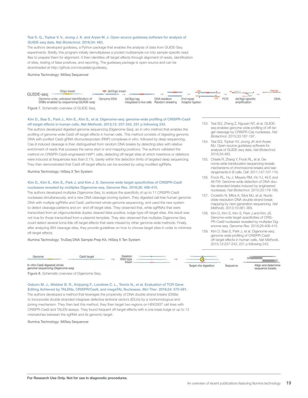#### Tsai S. Q., Topkar V. V., Joung J. K. and Aryee M. J. Open-source guideseq software for analysis of GUIDE-seq data. *Nat Biotechnol*. 2016;34: 483.

The authors developed guideseq, a Python package that enables the analysis of data from GUIDE-Seq experiments. Briefly, this program initially demultiplexes a pooled multisample run into sample-specific read files to prepare them for alignment. It then identifies off-target effects through alignment of reads, identification of sites, testing of false positives, and reporting. The guideseq package is open-source and can be downloaded at http://github.com/aryeelab/guideseq.

Illumina Technology: MiSeq Sequencer



Figure 7. Schematic overview of GUIDE-Seq.

#### Kim D., Bae S., Park J., Kim E., Kim S., et al. Digenome-seq: genome-wide profiling of CRISPR-Cas9 off-target effects in human cells. *Nat Methods*. 2015;12: 237-243, 231 p following 243.

The authors developed digested genome sequencing (Digenome-Seq), an *in vitro* method that enables the profiling of genome-wide Cas9 off-target effects in human cells. This method consists of digesting genomic DNA with purified Cas9-gRNA ribonucleoprotein (RNP) complexes *in vitro*, followed by deep sequencing. Cas-9 induced cleavage is then distinguished from random DNA breaks by detecting sites with relative enrichment of reads that possess the same start or end mapping positions. The authors validated the method on CRISPR-Cas9–engineered HAP1 cells, detecting off-target sites at which insertions or deletions were induced at frequencies less than 0.1%, barely within the detection limits of targeted deep sequencing. They then demonstrated that Cas9 off-target effects can be avoided by using modified sgRNAs.

Illumina Technology: HiSeq X Ten System

#### Kim D., Kim S., Kim S., Park J. and Kim J. S. Genome-wide target specificities of CRISPR-Cas9 nucleases revealed by multiplex Digenome-seq. *Genome Res*. 2016;26: 406-415.

The authors developed multiplex Digenome-Seq, to analyze the specificity of up to 11 CRISPR-Cas9 nucleases simultaneously, and a new DNA cleavage scoring system. They digested cell-free human genomic DNA with multiple sgRNAs and Cas9, performed whole-genome sequencing, and used the new system to detect cleavage patterns and on- and off-target sites. They observed that, while sgRNAs that were transcribed from an oligonucleotide duplex cleaved false-positive, bulge-type off-target sites, this result was not true for those transcribed from a plasmid template. They also observed that multiplex Digenome-Seq could detect several bona fide off-target effects that were missed by other genome-wide methods. Finally, after analyzing 964 cleavage sites, they provide guidelines on how to choose target sites in order to minimize off-target effects.

Illumina Technology: TruSeq DNA Sample Prep Kit, HiSeq X Ten System

- 153. Tsai SQ, Zheng Z, Nguyen NT, et al. GUIDEseg enables genome-wide profiling of off-target cleavage by CRISPR-Cas nucleases. *Nat Biotechnol*. 2015;33:187-197.
- 154. Tsai SQ, Topkar VV, Joung JK and Aryee MJ. Open-source guideseq software for analysis of GUIDE-seq data. *Nat Biotechnol*. 2016;34:483.
- 155. Chiarle R, Zhang Y, Frock RL, et al. Genome-wide translocation sequencing reveals mechanisms of chromosome breaks and rearrangements in B cells. *Cell*. 2011;147:107-119.
- 156. Frock RL, Hu J, Meyers RM, Ho YJ, Kii E and Alt FW. Genome-wide detection of DNA double-stranded breaks induced by engineered nucleases. *Nat Biotechnol*. 2015;33:179-186.
- 157. Crosetto N, Mitra A, Silva MJ, et al. Nucleotide-resolution DNA double-strand break mapping by next-generation sequencing. *Nat Methods*. 2013;10:361-365.
- 158. Kim D, Kim S, Kim S, Park J and Kim JS. Genome-wide target specificities of CRIS-PR-Cas9 nucleases revealed by multiplex Digenome-seq. *Genome Res*. 2016;26:406-415.
- 159. Kim D, Bae S, Park J, et al. Digenome-seq: genome-wide profiling of CRISPR-Cas9 off-target effects in human cells. *Nat Methods*. 2015;12:237-243, 231 p following 243.

| Genome                                                           | ne9 targe | Deletion<br>Wild type<br><b>Insort</b> |  |  |                       |          |                                          |
|------------------------------------------------------------------|-----------|----------------------------------------|--|--|-----------------------|----------|------------------------------------------|
| In vitro Cas9-digested whole<br>genome sequencing (Digenome-seq) |           |                                        |  |  | Target site digestion | Sequence | Align and determine-<br>sequence breaks. |

Figure 8. Schematic overview of Digenome-Seq.

Osborn M. J., Webber B. R., Knipping F., Lonetree C. L., Tennis N., et al. Evaluation of TCR Gene Editing Achieved by TALENs, CRISPR/Cas9, and megaTAL Nucleases. *Mol Ther*. 2016;24: 570-581. The authors developed a method that leverages the propensity of DNA double strand breaks (DSBs) to incorporate double stranded integrase-defective lentiviral vectors (IDLVs) by a nonhomologous end joining mechanism. They then test this method, they then target two regions on HEK293T cell lines with CRISPR-Cas9 and TALEN assays. They found frequent off-target effects with a one-base bulge or up to 13 mismatches between the sgRNA and its genomic target.

Illumina Technology: MiSeq Sequencer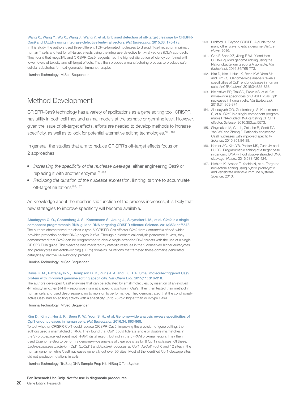Wang X., Wang Y., Wu X., Wang J., Wang Y., et al. Unbiased detection of off-target cleavage by CRISPR-Cas9 and TALENs using integrase-defective lentiviral vectors. *Nat Biotechnol*. 2015;33: 175-178.

In this study, the authors used three different TCR-α-targeted nucleases to disrupt T-cell receptor in primary human T cells and test for off-target effects using the integrase-defective lentiviral vectors (IDLV) approach. They found that megaTAL and CRISPR-Cas9 reagents had the highest disruption efficiency combined with lower levels of toxicity and off-target effects. They then propose a manufacturing process to produce safe cellular substrates for next-generation immunotherapies.

Illumina Technology: MiSeq Sequencer

### Method Development

CRISPR-Cas9 technology has a variety of applications as a gene editing tool. CRISPR has utility in both cell lines and animal models at the somatic or germline level. However, given the issue of off-target effects, efforts are needed to develop methods to increase specificity, as well as to look for potential alternative editing technologies.<sup>160, 161</sup>

In general, the studies that aim to reduce CRISPR's off-target effects focus on 2 approaches:

- *• Increasing the specificity of the nuclease cleavage*, either engineering Cas9 or replacing it with another enzyme<sup>162-165</sup>
- *• Reducing the duration of the nuclease expression*, limiting its time to accumulate off-target mutations<sup>166, 167</sup>

As knowledge about the mechanistic function of the process increases, it is likely that new strategies to improve specificity will become available.

Abudayyeh O. O., Gootenberg J. S., Konermann S., Joung J., Slaymaker I. M., et al. C2c2 is a singlecomponent programmable RNA-guided RNA-targeting CRISPR effector. Science. 2016;353: aaf5573. The authors characterized the class 2 type IV CRISPR-Cas effector C2c2 from *Leptotrichia shahii*, which provides protection against RNA phages *in vivo*. Through a biochemical analysis performed *in vitro*, they demonstrated that C2c2 can be programmed to cleave single-stranded RNA targets with the use of a single CRISPR RNA guide. The cleavage was mediated by catalytic residues in the 2 conserved higher eukaryotes and prokaryotes nucleotide-binding (HEPN) domains. Mutations that targeted these domains generated catalytically inactive RNA-binding proteins.

#### Illumina Technology: MiSeq Sequencer

#### Davis K. M., Pattanayak V., Thompson D. B., Zuris J. A. and Liu D. R. Small molecule-triggered Cas9 protein with improved genome-editing specificity. *Nat Chem Biol*. 2015;11: 316-318.

The authors developed Cas9 enzymes that can be activated by small molecules, by insertion of an evolved 4-hydroxytamoxifen (4-HT)-responsive intein at a specific position in Cas9. They then tested their method in human cells and used deep sequencing to monitor its performance. They demonstrated that the conditionally active Cas9 had an editing activity with a specificity up to 25-fold higher than wild-type Cas9.

Illumina Technology: MiSeq Sequencer

#### Kim D., Kim J., Hur J. K., Been K. W., Yoon S. H., et al. Genome-wide analysis reveals specificities of Cpf1 endonucleases in human cells. *Nat Biotechnol*. 2016;34: 863-868.

To test whether CRISPR-Cpf1 could replace CRISPR-Cas9, improving the precision of gene editing, the authors used a mismatched crRNA. They found that Cpf1 could tolerate single or double mismatches in the 3'-protospacer-adjacent motif (PAM) distal region, but not in the 5'-PAM proximal region. They then used Digenome-Seq to perform a genome-wide analysis of cleavage sites for 8 Cpf1 nucleases. Of these, *Lachnospiraceae bacterium* Cpf1 (LbCpf1) and *Acidaminococcus sp* Cpf1 (AsCpf1) cut 6 and 12 sites in the human genome, while Cas9 nucleases generally cut over 90 sites. Most of the identified Cpf1 cleavage sites did not produce mutations in cells.

Illumina Technology: TruSeq DNA Sample Prep Kit, HiSeq X Ten System

- 160. Ledford H. Beyond CRISPR: A guide to the many other ways to edit a genome. *Nature News*. 2016;
- 161. Gao F, Shen XZ, Jiang F, Wu Y and Han C. DNA-guided genome editing using the Natronobacterium gregoryi Argonaute. *Nat Biotechnol*. 2016;34:768-773.
- 162. Kim D, Kim J, Hur JK, Been KW, Yoon SH and Kim JS. Genome-wide analysis reveals specificities of Cpf1 endonucleases in human cells. *Nat Biotechnol*. 2016;34:863-868.
- 163. Kleinstiver BP, Tsai SQ, Prew MS, et al. Genome-wide specificities of CRISPR-Cas Cpf1 nucleases in human cells. *Nat Biotechnol*. 2016;34:869-874.
- 164. Abudayyeh OO, Gootenberg JS, Konermann S, et al. C2c2 is a single-component programmable RNA-guided RNA-targeting CRISPR effector. *Science*. 2016;353:aaf5573.
- 165. Slaymaker IM, Gao L, Zetsche B, Scott DA, Yan WX and Zhang F. Rationally engineered Cas9 nucleases with improved specificity. *Science*. 2016;351:84-88.
- 166. Komor AC, Kim YB, Packer MS, Zuris JA and Liu DR. Programmable editing of a target base in genomic DNA without double-stranded DNA cleavage. *Nature*. 2016;533:420-424.
- 167. Nishida K, Arazoe T, Yachie N, et al. Targeted nucleotide editing using hybrid prokaryotic and vertebrate adaptive immune systems. *Science*. 2016;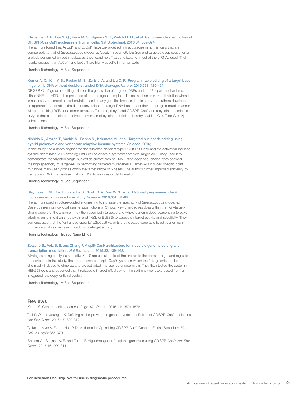#### Kleinstiver B. P., Tsai S. Q., Prew M. S., Nguyen N. T., Welch M. M., et al. Genome-wide specificities of CRISPR-Cas Cpf1 nucleases in human cells. Nat Biotechnol. 2016;34: 869-874.

The authors found that AsCpf1 and LbCpf1 have on-target editing accuracies in human cells that are comparable to that of *Streptococcus pyogenes* Cas9. Through GUIDE-Seq and targeted deep sequencing analysis performed on both nucleases, they found no off-target effects for most of the crRNAs used. Their results suggest that AsCpf1 and LpCpf1 are highly specific in human cells.

Illumina Technology: MiSeq Sequencer

#### Komor A. C., Kim Y. B., Packer M. S., Zuris J. A. and Liu D. R. Programmable editing of a target base in genomic DNA without double-stranded DNA cleavage. *Nature*. 2016;533: 420-424.

CRISPR-Cas9 genome editing relies on the generation of targeted DSBs and 1 of 2 repair mechanisms: either NHEJ or HDR, in the presence of a homologous template. These mechanisms are a limitation when it is necessary to correct a point mutation, as in many genetic diseases. In this study, the authors developed an approach that enables the direct conversion of a target DNA base to another in a programmable manner, without requiring DSBs or a donor template. To do so, they fused CRISPR-Cas9 and a cytidine deaminase enzyme that can mediate the direct conversion of cytidine to uridine, thereby enabling C -> T (or G -> A) substitutions.

Illumina Technology: MiSeq Sequencer

#### Nishida K., Arazoe T., Yachie N., Banno S., Kakimoto M., et al. Targeted nucleotide editing using hybrid prokaryotic and vertebrate adaptive immune systems. *Science*. 2016; .

In this study, the authors engineered the nuclease-deficient type II CRISPR-Cas9 and the activation-induced cytidine deaminase (AID) ortholog PmCDA1 to create a synthetic complex (Target-AID). They used it to demonstrate the targeted single-nucleotide substitution of DNA. Using deep sequencing, they showed the high specificity of Target-AID in performing targeted mutagenesis. Target-AID induced specific point mutations mainly at cytidines within the target range of 5 bases. The authors further improved efficiency by using uracil DNA glycosylase inhibitor (UGI) to suppress indel formation.

Illumina Technology: MiSeq Sequencer

#### Slaymaker I. M., Gao L., Zetsche B., Scott D. A., Yan W. X., et al. Rationally engineered Cas9 nucleases with improved specificity. *Science*. 2016;351: 84-88.

The authors used structure-guided engineering to increase the specificity of *Streptococcus pyogenes* Cas9 by inserting individual alanine substitutions at 31 positively charged residues within the non–targetstrand groove of the enzyme. They then used both targeted and whole-genome deep sequencing (breaks labeling, enrichment on streptavidin and NGS, or BLESS) to assess on-target activity and specificity. They demonstrated that the "enhanced specific" eSpCas9 variants they created were able to edit genomes in human cells while maintaining a robust on-target activity.

Illumina Technology: TruSeq Nano LT Kit

#### Zetsche B., Volz S. E. and Zhang F. A split-Cas9 architecture for inducible genome editing and transcription modulation. *Nat Biotechnol*. 2015;33: 139-142.

Strategies using catalytically inactive Cas9 are useful to direct the protein to the correct target and regulate transcription. In this study, the authors created a split-Cas9 system in which the 2 fragments can be chemically induced to dimerize and are activated in presence of rapamycin. They then tested the system in HEK293 cells and observed that it reduces off-target effects when the split enzyme is expressed from an integrated low-copy lentiviral vector.

Illumina Technology: MiSeq Sequencer

#### **Reviews**

Kim J. S. Genome editing comes of age. *Nat Protoc*. 2016;11: 1573-1578

Tsai S. Q. and Joung J. K. Defining and improving the genome-wide specificities of CRISPR-Cas9 nucleases. *Nat Rev Genet*. 2016;17: 300-312

Tycko J., Myer V. E. and Hsu P. D. Methods for Optimizing CRISPR-Cas9 Genome Editing Specificity. *Mol Cell*. 2016;63: 355-370

Shalem O., Sanjana N. E. and Zhang F. High-throughput functional genomics using CRISPR-Cas9. *Nat Rev Genet*. 2015;16: 299-311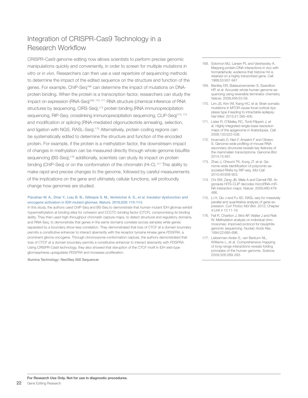### Integration of CRISPR-Cas9 Technology in a Research Workflow

CRISPR-Cas9 genome editing now allows scientists to perform precise genomic manipulations quickly and conveniently, in order to screen for multiple mutations *in vitro* or *in vivo*. Researchers can then use a vast repertoire of sequencing methods to determine the impact of the edited sequence on the structure and function of the genes. For example, ChIP-Seq<sup>168</sup> can determine the impact of mutations on DNAprotein binding. When the protein is a transcription factor, researchers can study the impact on expression (RNA-Seq)<sup>169, 170, 171</sup> RNA structure (chemical inference of RNA structures by sequencing, CIRS-Seq),<sup>172</sup> protein binding (RNA immunoprecipitation sequencing, RIP-Seq; crosslinking immunoprecipitation sequencing, CLIP-Seq)<sup>173, 174</sup> and modification or splicing (RNA-mediated oligonucleotide annealing, selection, and ligation with NGS, RASL-Seq).175 Alternatively, protein coding regions can be systematically edited to determine the structure and function of the encoded protein. For example, if the protein is a methylation factor, the downstream impact of changes in methylation can be measured directly through whole-genome bisulfite sequencing (BS-Seq);<sup>176</sup> additionally, scientists can study its impact on protein binding (ChIP-Seg) or on the conformation of the chromatin (Hi-C).<sup>177</sup> This ability to make rapid and precise changes to the genome, followed by careful measurements of the implications on the gene and ultimately cellular functions, will profoundly change how genomes are studied.

#### Flavahan W. A., Drier Y., Liau B. B., Gillespie S. M., Venteicher A. S., et al. Insulator dysfunction and oncogene activation in IDH mutant gliomas. *Nature*. 2016;529: 110-114.

In this study, the authors used ChIP-Seq and BS-Seq to demonstrate that human mutant IDH gliomas exhibit hypermethylation at binding sites for cohesion and CCCTC-binding factor (CTCF), compromising its binding ability. They then used high-throughput chromatin capture maps, to detect structural and regulatory domains, and RNA-Seq, to demonstrate that genes in the same domains correlate across samples while genes separated by a boundary show less correlation. They demonstrated that loss of CTCF at a domain boundary permits a constitutive enhancer to interact aberrantly with the receptor tyrosine kinase gene *PDGFRA*, a prominent glioma oncogene. Through chromosome-conformation capture, the authors demonstrated that loss of CTCF at a domain boundary permits a constitutive enhancer to interact aberrantly with *PDGFRA*. Using CRISPR-Cas9 technology, they also showed that disruption of the CTCF motif in IDH wild-type gliomaspheres upregulates *PDGFRA* and increases proliferation.

Illumina Technology: NextSeq 500 Sequencer

- 168. Solomon MJ, Larsen PL and Varshavsky A. Mapping protein-DNA interactions in vivo with formaldehyde: evidence that histone H4 is retained on a highly transcribed gene. *Cell*. 1988;53:937-947.
- 169. Bentley DR, Balasubramanian S, Swerdlow HP, et al. Accurate whole human genome sequencing using reversible terminator chemistry. *Nature*. 2008;456:53-59.
- 170. Lim JS, Kim WI, Kang HC, et al. Brain somatic mutations in MTOR cause focal cortical dysplasia type II leading to intractable epilepsy. *Nat Med*. 2015;21:395-400.
- 171. Lister R, O'Malley RC, Tonti-Filippini J, et al. Highly integrated single-base resolution maps of the epigenome in Arabidopsis. *Cell*. 2008;133:523-536.
- 172. Incarnato D, Neri F, Anselmi F and Oliviero S. Genome-wide profiling of mouse RNA secondary structures reveals key features of the mammalian transcriptome. *Genome Biol*. 2014;15:491.
- 173. Zhao J, Ohsumi TK, Kung JT, et al. Genome-wide identification of polycomb-associated RNAs by RIP-seq. *Mol Cell*. 2010;40:939-953.
- 174. Chi SW, Zang JB, Mele A and Darnell RB. Argonaute HITS-CLIP decodes microRNA-mR-NA interaction maps. *Nature*. 2009;460:479- 486.
- 175. Li H, Qiu J and Fu XD. RASL-seq for massively parallel and quantitative analysis of gene expression. *Curr Protoc Mol Biol*. 2012; Chapter 4:Unit 4 13 11-19.
- 176. Feil R, Charlton J, Bird AP, Walter J and Reik W. Methylation analysis on individual chromosomes: improved protocol for bisulphite genomic sequencing. *Nucleic Acids Res*. 1994;22:695-696.
- 177. Lieberman-Aiden E, van Berkum NL, Williams L, et al. Comprehensive mapping of long-range interactions reveals folding principles of the human genome. *Science*. 2009;326:289-293.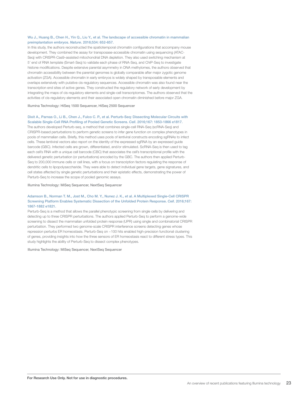#### Wu J., Huang B., Chen H., Yin Q., Liu Y., et al. The landscape of accessible chromatin in mammalian preimplantation embryos. *Nature*. 2016;534: 652-657.

In this study, the authors reconstructed the spatiotemporal chromatin configurations that accompany mouse development. They combined the assay for transposase-accessible chromatin using sequencing (ATAC-Seq) with CRISPR-Cas9–assisted mitochondrial DNA depletion. They also used switching mechanism at 5' end of RNA template (Smart-Seq) to validate each phase of RNA-Seq, and ChIP-Seq to investigate histone modifications. Despite extensive parental asymmetry in DNA methylomes, the authors observed that chromatin accessibility between the parental genomes is globally comparable after major zygotic genome activation (ZGA). Accessible chromatin in early embryos is widely shaped by transposable elements and overlaps extensively with putative cis-regulatory sequences. Accessible chromatin was also found near the transcription end sites of active genes. They constructed the regulatory network of early development by integrating the maps of cis-regulatory elements and single-cell transcriptomes. The authors observed that the activities of cis-regulatory elements and their associated open chromatin diminished before major ZGA.

#### Illumina Technology: HiSeq 1500 Sequencer, HiSeq 2500 Sequencer

#### Dixit A., Parnas O., Li B., Chen J., Fulco C. P., et al. Perturb-Seq: Dissecting Molecular Circuits with Scalable Single-Cell RNA Profiling of Pooled Genetic Screens. *Cell*. 2016;167: 1853-1866 e1817.

The authors developed Perturb-seq, a method that combines single-cell RNA-Seq (scRNA-Seq) and CRISPR-based perturbations to perform genetic screens to infer gene function on complex phenotypes in pools of mammalian cells. Briefly, this method uses pools of lentiviral constructs encoding sgRNAs to infect cells. These lentiviral vectors also report on the identity of the expressed sgRNA by an expressed guide barcode (GBC). Infected cells are grown, differentiated, and/or stimulated. ScRNA-Seq is then used to tag each cell's RNA with a unique cell barcode (CBC) that associates the cell's transcriptional profile with the delivered genetic perturbation (or perturbations) encoded by the GBC. The authors then applied Perturb-Seq to 200,000 immune cells or cell lines, with a focus on transcription factors regulating the response of dendritic cells to lipopolysaccharide. They were able to detect individual gene targets, gene signatures, and cell states affected by single genetic perturbations and their epistatic effects, demonstrating the power of Perturb-Seq to increase the scope of pooled genomic assays.

#### Illumina Technology: MiSeq Sequencer, NextSeq Sequencer

#### Adamson B., Norman T. M., Jost M., Cho M. Y., Nunez J. K., et al. A Multiplexed Single-Cell CRISPR Screening Platform Enables Systematic Dissection of the Unfolded Protein Response. *Cell*. 2016;167: 1867-1882 e1821.

Perturb-Seq is a method that allows the parallel phenotypic screening from single cells by delivering and detecting up to three CRISPR perturbations. The authors applied Perturb-Seq to perform a genome-wide screening to dissect the mammalian unfolded protein response (UPR) using single and combinatorial CRISPR perturbation. They performed two genome-scale CRISPR interference screens detecting genes whose repression perturbs ER homeostasis. Perturb-Seq on ~100 hits enabled high-precision functional clustering of genes, providing insights into how the three sensors of ER homeostasis react to different stress types. This study highlights the ability of Perturb-Seq to dissect complex phenotypes.

#### Illumina Technology: MiSeq Sequencer, NextSeq Sequencer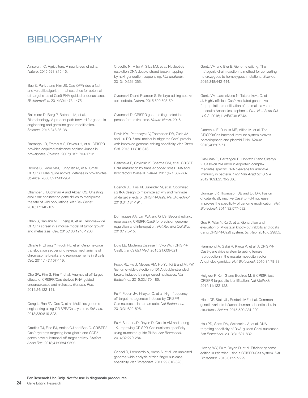### BIBLIOGRAPHY

Ainsworth C. Agriculture: A new breed of edits. *Nature*. 2015;528:S15-16.

Bae S, Park J and Kim JS. Cas-OFFinder: a fast and versatile algorithm that searches for potential off-target sites of Cas9 RNA-guided endonucleases. *Bioinformatics*. 2014;30:1473-1475.

Baltimore D, Berg P, Botchan M, et al. Biotechnology. A prudent path forward for genomic engineering and germline gene modification. *Science*. 2015;348:36-38.

Barrangou R, Fremaux C, Deveau H, et al. CRISPR provides acquired resistance against viruses in prokaryotes. *Science*. 2007;315:1709-1712.

Brouns SJ, Jore MM, Lundgren M, et al. Small CRISPR RNAs guide antiviral defense in prokaryotes. *Science*. 2008;321:960-964.

Champer J, Buchman A and Akbari OS. Cheating evolution: engineering gene drives to manipulate the fate of wild populations. *Nat Rev Genet*. 2016;17:146-159.

Chen S, Sanjana NE, Zheng K, et al. Genome-wide CRISPR screen in a mouse model of tumor growth and metastasis. *Cell*. 2015;160:1246-1260.

Chiarle R, Zhang Y, Frock RL, et al. Genome-wide translocation sequencing reveals mechanisms of chromosome breaks and rearrangements in B cells. *Cell*. 2011;147:107-119.

Cho SW, Kim S, Kim Y, et al. Analysis of off-target effects of CRISPR/Cas-derived RNA-guided endonucleases and nickases. *Genome Res*. 2014;24:132-141.

Cong L, Ran FA, Cox D, et al. Multiplex genome engineering using CRISPR/Cas systems. *Science*. 2013;339:819-823.

Cradick TJ, Fine EJ, Antico CJ and Bao G. CRISPR/ Cas9 systems targeting beta-globin and CCR5 genes have substantial off-target activity. *Nucleic Acids Res*. 2013;41:9584-9592.

Crosetto N, Mitra A, Silva MJ, et al. Nucleotideresolution DNA double-strand break mapping by next-generation sequencing. *Nat Methods*. 2013;10:361-365.

Cyranoski D and Reardon S. Embryo editing sparks epic debate. *Nature*. 2015;520:593-594.

Cyranoski D. CRISPR gene-editing tested in a person for the first time. *Nature News*. 2016;

Davis KM, Pattanayak V, Thompson DB, Zuris JA and Liu DR. Small molecule-triggered Cas9 protein with improved genome-editing specificity. *Nat Chem Biol*. 2015;11:316-318.

Deltcheva E, Chylinski K, Sharma CM, et al. CRISPR RNA maturation by trans-encoded small RNA and host factor RNase III. *Nature*. 2011;471:602-607.

Doench JG, Fusi N, Sullender M, et al. Optimized sgRNA design to maximize activity and minimize off-target effects of CRISPR-Cas9. *Nat Biotechnol*. 2016;34:184-191.

Dominguez AA, Lim WA and Qi LS. Beyond editing: repurposing CRISPR-Cas9 for precision genome regulation and interrogation. *Nat Rev Mol Cell Biol*. 2016;17:5-15.

Dow LE. Modeling Disease In Vivo With CRISPR/ Cas9. *Trends Mol Med*. 2015;21:609-621.

Frock RL, Hu J, Meyers RM, Ho YJ, Kii E and Alt FW. Genome-wide detection of DNA double-stranded breaks induced by engineered nucleases. *Nat Biotechnol*. 2015;33:179-186.

Fu Y, Foden JA, Khayter C, et al. High-frequency off-target mutagenesis induced by CRISPR-Cas nucleases in human cells. *Nat Biotechnol*. 2013;31:822-826.

Fu Y, Sander JD, Reyon D, Cascio VM and Joung JK. Improving CRISPR-Cas nuclease specificity using truncated guide RNAs. *Nat Biotechnol*. 2014;32:279-284.

Gabriel R, Lombardo A, Arens A, et al. An unbiased genome-wide analysis of zinc-finger nuclease specificity. *Nat Biotechnol*. 2011;29:816-823.

Gantz VM and Bier E. Genome editing. The mutagenic chain reaction: a method for converting heterozygous to homozygous mutations. *Science*. 2015;348:442-444.

Gantz VM, Jasinskiene N, Tatarenkova O, et al. Highly efficient Cas9-mediated gene drive for population modification of the malaria vector mosquito Anopheles stephensi. *Proc Natl Acad Sci U S A*. 2015;112:E6736-6743.

Garneau JE, Dupuis ME, Villion M, et al. The CRISPR/Cas bacterial immune system cleaves bacteriophage and plasmid DNA. *Nature*. 2010;468:67-71.

Gasiunas G, Barrangou R, Horvath P and Siksnys V. Cas9-crRNA ribonucleoprotein complex mediates specific DNA cleavage for adaptive immunity in bacteria. *Proc Natl Acad Sci U S A*. 2012;109:E2579-2586.

Guilinger JP, Thompson DB and Liu DR. Fusion of catalytically inactive Cas9 to FokI nuclease improves the specificity of genome modification. *Nat Biotechnol*. 2014;32:577-582.

Guo R, Wan Y, Xu D, et al. Generation and evaluation of Myostatin knock-out rabbits and goats using CRISPR/Cas9 system. *Sci Rep*. 2016;6:29855.

Hammond A, Galizi R, Kyrou K, et al. A CRISPR-Cas9 gene drive system targeting female reproduction in the malaria mosquito vector Anopheles gambiae. *Nat Biotechnol*. 2016;34:78-83.

Heigwer F, Kerr G and Boutros M. E-CRISP: fast CRISPR target site identification. *Nat Methods*. 2014;11:122-123.

Hibar DP, Stein JL, Renteria ME, et al. Common genetic variants influence human subcortical brain structures. *Nature*. 2015;520:224-229.

Hsu PD, Scott DA, Weinstein JA, et al. DNA targeting specificity of RNA-guided Cas9 nucleases. *Nat Biotechnol*. 2013;31:827-832.

Hwang WY, Fu Y, Reyon D, et al. Efficient genome editing in zebrafish using a CRISPR-Cas system. *Nat Biotechnol*. 2013;31:227-229.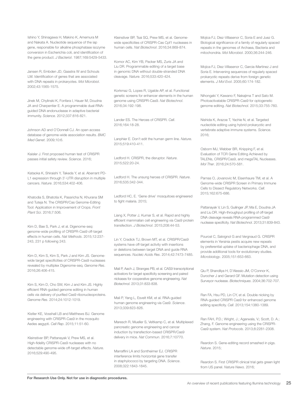Ishino Y, Shinagawa H, Makino K, Amemura M and Nakata A. Nucleotide sequence of the iap gene, responsible for alkaline phosphatase isozyme conversion in Escherichia coli, and identification of the gene product. *J Bacteriol*. 1987;169:5429-5433.

Jansen R, Embden JD, Gaastra W and Schouls LM. Identification of genes that are associated with DNA repeats in prokaryotes. *Mol Microbiol*. 2002;43:1565-1575.

Jinek M, Chylinski K, Fonfara I, Hauer M, Doudna JA and Charpentier E. A programmable dual-RNAguided DNA endonuclease in adaptive bacterial immunity. *Science*. 2012;337:816-821.

Johnson AD and O'Donnell CJ. An open access database of genome-wide association results. *BMC Med Genet*. 2009;10:6.

Kaisler J. First proposed human test of CRISPR passes initial safety review. *Science*. 2016;

Kataoka K, Shiraishi Y, Takeda Y, et al. Aberrant PD-L1 expression through 3'-UTR disruption in multiple cancers. *Nature*. 2016;534:402-406.

Khatodia S, Bhatotia K, Passricha N, Khurana SM and Tuteja N. The CRISPR/Cas Genome-Editing Tool: Application in Improvement of Crops. *Front Plant Sci*. 2016;7:506.

Kim D, Bae S, Park J, et al. Digenome-seq: genome-wide profiling of CRISPR-Cas9 off-target effects in human cells. *Nat Methods*. 2015;12:237- 243, 231 p following 243.

Kim D, Kim S, Kim S, Park J and Kim JS. Genomewide target specificities of CRISPR-Cas9 nucleases revealed by multiplex Digenome-seq. *Genome Res*. 2016;26:406-415.

Kim S, Kim D, Cho SW, Kim J and Kim JS. Highly efficient RNA-guided genome editing in human cells via delivery of purified Cas9 ribonucleoproteins. *Genome Res*. 2014;24:1012-1019.

Kistler KE, Vosshall LB and Matthews BJ. Genome engineering with CRISPR-Cas9 in the mosquito Aedes aegypti. *Cell Rep*. 2015;11:51-60.

Kleinstiver BP, Pattanayak V, Prew MS, et al. High-fidelity CRISPR-Cas9 nucleases with no detectable genome-wide off-target effects. *Nature*. 2016;529:490-495.

Kleinstiver BP, Tsai SQ, Prew MS, et al. Genomewide specificities of CRISPR-Cas Cpf1 nucleases in human cells. *Nat Biotechnol*. 2016;34:869-874.

Komor AC, Kim YB, Packer MS, Zuris JA and Liu DR. Programmable editing of a target base in genomic DNA without double-stranded DNA cleavage. *Nature*. 2016;533:420-424.

Korkmaz G, Lopes R, Ugalde AP, et al. Functional genetic screens for enhancer elements in the human genome using CRISPR-Cas9. *Nat Biotechnol*. 2016;34:192-198.

Lander ES. The Heroes of CRISPR. *Cell*. 2016;164:18-28.

Lanphier E. Don't edit the human germ line. *Nature*. 2015;519:410-411.

Ledford H. CRISPR, the disruptor. *Nature*. 2015;522:20-24.

Ledford H. The unsung heroes of CRISPR. *Nature*. 2016;535:342-344.

Ledford HC, E. 'Gene drive' mosquitoes engineered to fight malaria. 2015;

Liang X, Potter J, Kumar S, et al. Rapid and highly efficient mammalian cell engineering via Cas9 protein transfection. *J Biotechnol*. 2015;208:44-53.

Lin Y, Cradick TJ, Brown MT, et al. CRISPR/Cas9 systems have off-target activity with insertions or deletions between target DNA and guide RNA sequences. *Nucleic Acids Res*. 2014;42:7473-7485.

Mali P, Aach J, Stranges PB, et al. CAS9 transcriptional activators for target specificity screening and paired nickases for cooperative genome engineering. *Nat Biotechnol*. 2013;31:833-838.

Mali P, Yang L, Esvelt KM, et al. RNA-guided human genome engineering via Cas9. *Science*. 2013;339:823-826.

Maresch R, Mueller S, Veltkamp C, et al. Multiplexed pancreatic genome engineering and cancer induction by transfection-based CRISPR/Cas9 delivery in mice. *Nat Commun*. 2016;7:10770.

Marraffini LA and Sontheimer EJ. CRISPR interference limits horizontal gene transfer in staphylococci by targeting DNA. *Science*. 2008;322:1843-1845.

Mojica FJ, Diez-Villasenor C, Soria E and Juez G. Biological significance of a family of regularly spaced repeats in the genomes of Archaea, Bacteria and mitochondria. *Mol Microbiol*. 2000;36:244-246.

Mojica FJ, Diez-Villasenor C, Garcia-Martinez J and Soria E. Intervening sequences of regularly spaced prokaryotic repeats derive from foreign genetic elements. *J Mol Evol*. 2005;60:174-182.

Nihongaki Y, Kawano F, Nakajima T and Sato M. Photoactivatable CRISPR-Cas9 for optogenetic genome editing. *Nat Biotechnol*. 2015;33:755-760.

Nishida K, Arazoe T, Yachie N, et al. Targeted nucleotide editing using hybrid prokaryotic and vertebrate adaptive immune systems. *Science*. 2016;

Osborn MJ, Webber BR, Knipping F, et al. Evaluation of TCR Gene Editing Achieved by TALENs, CRISPR/Cas9, and megaTAL Nucleases. *Mol Ther*. 2016;24:570-581.

Parnas O, Jovanovic M, Eisenhaure TM, et al. A Genome-wide CRISPR Screen in Primary Immune Cells to Dissect Regulatory Networks. *Cell*. 2015;162:675-686.

Pattanayak V, Lin S, Guilinger JP, Ma E, Doudna JA and Liu DR. High-throughput profiling of off-target DNA cleavage reveals RNA-programmed Cas9 nuclease specificity. *Nat Biotechnol*. 2013;31:839-843.

Pourcel C, Salvignol G and Vergnaud G. CRISPR elements in Yersinia pestis acquire new repeats by preferential uptake of bacteriophage DNA, and provide additional tools for evolutionary studies. *Microbiology*. 2005;151:653-663.

Qiu P, Shandilya H, D'Alessio JM, O'Connor K, Durocher J and Gerard GF. Mutation detection using Surveyor nuclease. *Biotechniques*. 2004;36:702-707.

Ran FA, Hsu PD, Lin CY, et al. Double nicking by RNA-guided CRISPR Cas9 for enhanced genome editing specificity. *Cell*. 2013;154:1380-1389.

Ran FAH, P.D.; Wright, J.; Agarwala, V.; Scott, D. A.; Zhang, F. Genome engineering using the CRISPR-Cas9 system. *Nat Protocols*. 2013;8:2281-2308.

Reardon S. Gene-editing record smashed in pigs. *Nature*. 2015;

Reardon S. First CRISPR clinical trial gets green light from US panel. *Nature News*. 2016;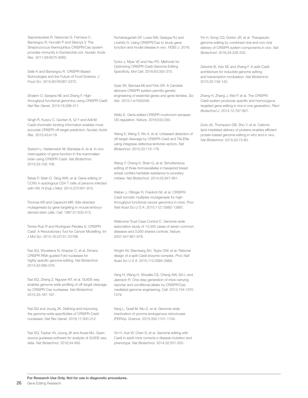Sapranauskas R, Gasiunas G, Fremaux C, Barrangou R, Horvath P and Siksnys V. The Streptococcus thermophilus CRISPR/Cas system provides immunity in Escherichia coli. *Nucleic Acids Res*. 2011;39:9275-9282.

Selle K and Barrangou R. CRISPR-Based Technologies and the Future of Food Science. *J Food Sci*. 2015;80:R2367-2372.

Shalem O, Sanjana NE and Zhang F. Highthroughput functional genomics using CRISPR-Cas9. *Nat Rev Genet*. 2015;16:299-311.

Singh R, Kuscu C, Quinlan A, Qi Y and Adli M. Cas9-chromatin binding information enables more accurate CRISPR off-target prediction. *Nucleic Acids Res*. 2015;43:e118.

Swiech L, Heidenreich M, Banerjee A, et al. In vivo interrogation of gene function in the mammalian brain using CRISPR-Cas9. *Nat Biotechnol*. 2015;33:102-106.

Tebas P, Stein D, Tang WW, et al. Gene editing of CCR5 in autologous CD4 T cells of persons infected with HIV. *N Engl J Med*. 2014;370:901-910.

Thomas KR and Capecchi MR. Site-directed mutagenesis by gene targeting in mouse embryoderived stem cells. *Cell*. 1987;51:503-512.

Torres-Ruiz R and Rodriguez-Perales S. CRISPR-Cas9: A Revolutionary Tool for Cancer Modelling. *Int J Mol Sci*. 2015;16:22151-22168.

Tsai SQ, Wyvekens N, Khayter C, et al. Dimeric CRISPR RNA-guided FokI nucleases for highly specific genome editing. *Nat Biotechnol*. 2014;32:569-576.

Tsai SQ, Zheng Z, Nguyen NT, et al. GUIDE-seq enables genome-wide profiling of off-target cleavage by CRISPR-Cas nucleases. *Nat Biotechnol*. 2015;33:187-197.

Tsai SQ and Joung JK. Defining and improving the genome-wide specificities of CRISPR-Cas9 nucleases. *Nat Rev Genet*. 2016;17:300-312.

Tsai SQ, Topkar VV, Joung JK and Aryee MJ. Opensource guideseq software for analysis of GUIDE-seq data. *Nat Biotechnol*. 2016;34:483.

Tschaharganeh DF, Lowe SW, Garippa RJ and Livshits G. Using CRISPR/Cas to study gene function and model disease *in vivo*. *FEBS J*. 2016;

Tycko J, Myer VE and Hsu PD. Methods for Optimizing CRISPR-Cas9 Genome Editing Specificity. *Mol Cell*. 2016;63:355-370.

Vyas VK, Barrasa MI and Fink GR. A Candida albicans CRISPR system permits genetic engineering of essential genes and gene families. *Sci Adv*. 2015;1:e1500248.

Waltz E. Gene-edited CRISPR mushroom escapes US regulation. *Nature*. 2016;532:293.

Wang X, Wang Y, Wu X, et al. Unbiased detection of off-target cleavage by CRISPR-Cas9 and TALENs using integrase-defective lentiviral vectors. *Nat Biotechnol*. 2015;33:175-178.

Wang Y, Cheng X, Shan Q, et al. Simultaneous editing of three homoeoalleles in hexaploid bread wheat confers heritable resistance to powdery mildew. *Nat Biotechnol*. 2014;32:947-951.

Weber J, Ollinger R, Friedrich M, et al. CRISPR/ Cas9 somatic multiplex-mutagenesis for highthroughput functional cancer genomics in mice. *Proc Natl Acad Sci U S A*. 2015;112:13982-13987.

Wellcome Trust Case Control C. Genome-wide association study of 14,000 cases of seven common diseases and 3,000 shared controls. *Nature*. 2007;447:661-678.

Wright AV, Sternberg SH, Taylor DW, et al. Rational design of a split-Cas9 enzyme complex. *Proc Natl Acad Sci U S A*. 2015;112:2984-2989.

Yang H, Wang H, Shivalila CS, Cheng AW, Shi L and Jaenisch R. One-step generation of mice carrying reporter and conditional alleles by CRISPR/Casmediated genome engineering. *Cell*. 2013;154:1370- 1379.

Yang L, Guell M, Niu D, et al. Genome-wide inactivation of porcine endogenous retroviruses (PERVs). *Science*. 2015;350:1101-1104.

Yin H, Xue W, Chen S, et al. Genome editing with Cas9 in adult mice corrects a disease mutation and phenotype. *Nat Biotechnol*. 2014;32:551-553.

Yin H, Song CQ, Dorkin JR, et al. Therapeutic genome editing by combined viral and non-viral delivery of CRISPR system components *in vivo*. *Nat Biotechnol*. 2016;34:328-333.

Zetsche B, Volz SE and Zhang F. A split-Cas9 architecture for inducible genome editing and transcription modulation. *Nat Biotechnol*. 2015;33:139-142.

Zhang H, Zhang J, Wei P, et al. The CRISPR/ Cas9 system produces specific and homozygous targeted gene editing in rice in one generation. *Plant Biotechnol J*. 2014;12:797-807.

Zuris JA, Thompson DB, Shu Y, et al. Cationic lipid-mediated delivery of proteins enables efficient protein-based genome editing *in vitro* and *in vivo*. *Nat Biotechnol*. 2015;33:73-80.